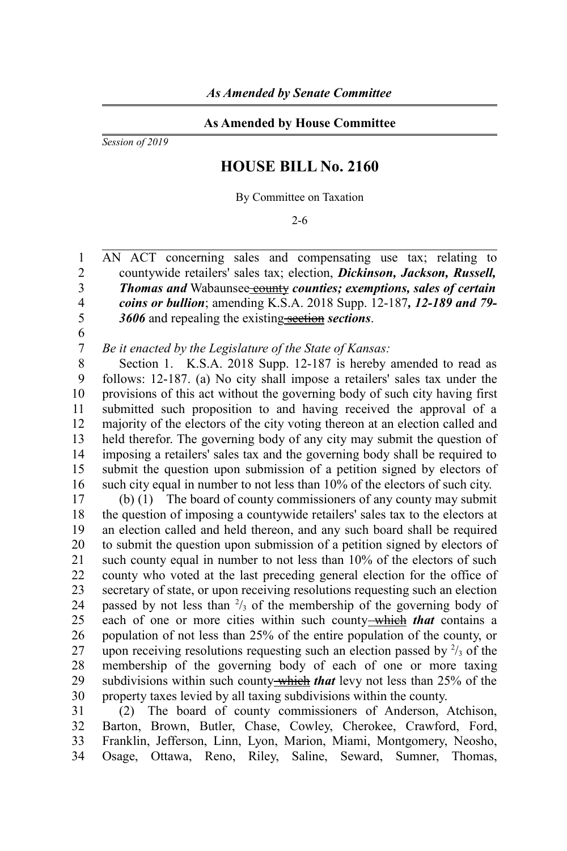## **As Amended by House Committee**

*Session of 2019*

## **HOUSE BILL No. 2160**

By Committee on Taxation

2-6

AN ACT concerning sales and compensating use tax; relating to countywide retailers' sales tax; election, *Dickinson, Jackson, Russell, Thomas and* Wabaunsee<del> county</del> counties; exemptions, sales of certain *coins or bullion*; amending K.S.A. 2018 Supp. 12-187*, 12-189 and 79- 3606* and repealing the existing section *sections*. 1  $\mathfrak{D}$ 3 4 5

6 7

*Be it enacted by the Legislature of the State of Kansas:*

Section 1. K.S.A. 2018 Supp. 12-187 is hereby amended to read as follows: 12-187. (a) No city shall impose a retailers' sales tax under the provisions of this act without the governing body of such city having first submitted such proposition to and having received the approval of a majority of the electors of the city voting thereon at an election called and held therefor. The governing body of any city may submit the question of imposing a retailers' sales tax and the governing body shall be required to submit the question upon submission of a petition signed by electors of such city equal in number to not less than 10% of the electors of such city. 8 9 10 11 12 13 14 15 16

(b) (1) The board of county commissioners of any county may submit the question of imposing a countywide retailers' sales tax to the electors at an election called and held thereon, and any such board shall be required to submit the question upon submission of a petition signed by electors of such county equal in number to not less than 10% of the electors of such county who voted at the last preceding general election for the office of secretary of state, or upon receiving resolutions requesting such an election passed by not less than  $\frac{2}{3}$  of the membership of the governing body of each of one or more cities within such county-which *that* contains a population of not less than 25% of the entire population of the county, or upon receiving resolutions requesting such an election passed by  $\frac{2}{3}$  of the membership of the governing body of each of one or more taxing subdivisions within such county which *that* levy not less than 25% of the property taxes levied by all taxing subdivisions within the county. 17 18 19 20 21 22 23 24 25 26 27 28 29 30

(2) The board of county commissioners of Anderson, Atchison, Barton, Brown, Butler, Chase, Cowley, Cherokee, Crawford, Ford, Franklin, Jefferson, Linn, Lyon, Marion, Miami, Montgomery, Neosho, Osage, Ottawa, Reno, Riley, Saline, Seward, Sumner, Thomas, 31 32 33 34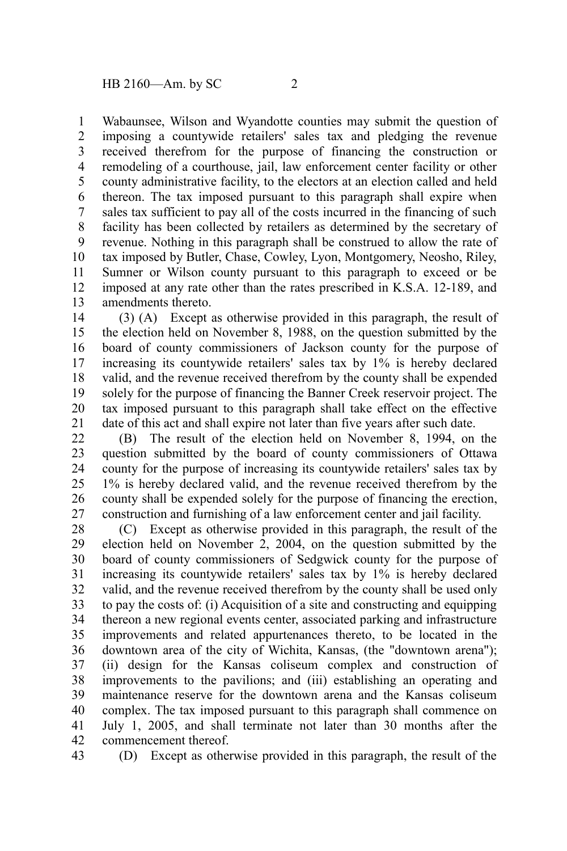Wabaunsee, Wilson and Wyandotte counties may submit the question of imposing a countywide retailers' sales tax and pledging the revenue received therefrom for the purpose of financing the construction or remodeling of a courthouse, jail, law enforcement center facility or other county administrative facility, to the electors at an election called and held thereon. The tax imposed pursuant to this paragraph shall expire when sales tax sufficient to pay all of the costs incurred in the financing of such facility has been collected by retailers as determined by the secretary of revenue. Nothing in this paragraph shall be construed to allow the rate of tax imposed by Butler, Chase, Cowley, Lyon, Montgomery, Neosho, Riley, Sumner or Wilson county pursuant to this paragraph to exceed or be imposed at any rate other than the rates prescribed in K.S.A. 12-189, and amendments thereto. 1 2 3 4 5 6 7 8 9 10 11 12 13

(3) (A) Except as otherwise provided in this paragraph, the result of the election held on November 8, 1988, on the question submitted by the board of county commissioners of Jackson county for the purpose of increasing its countywide retailers' sales tax by 1% is hereby declared valid, and the revenue received therefrom by the county shall be expended solely for the purpose of financing the Banner Creek reservoir project. The tax imposed pursuant to this paragraph shall take effect on the effective date of this act and shall expire not later than five years after such date. 14 15 16 17 18 19 20 21

(B) The result of the election held on November 8, 1994, on the question submitted by the board of county commissioners of Ottawa county for the purpose of increasing its countywide retailers' sales tax by 1% is hereby declared valid, and the revenue received therefrom by the county shall be expended solely for the purpose of financing the erection, construction and furnishing of a law enforcement center and jail facility. 22 23 24 25 26 27

(C) Except as otherwise provided in this paragraph, the result of the election held on November 2, 2004, on the question submitted by the board of county commissioners of Sedgwick county for the purpose of increasing its countywide retailers' sales tax by 1% is hereby declared valid, and the revenue received therefrom by the county shall be used only to pay the costs of: (i) Acquisition of a site and constructing and equipping thereon a new regional events center, associated parking and infrastructure improvements and related appurtenances thereto, to be located in the downtown area of the city of Wichita, Kansas, (the "downtown arena"); (ii) design for the Kansas coliseum complex and construction of improvements to the pavilions; and (iii) establishing an operating and maintenance reserve for the downtown arena and the Kansas coliseum complex. The tax imposed pursuant to this paragraph shall commence on July 1, 2005, and shall terminate not later than 30 months after the commencement thereof. 28 29 30 31 32 33 34 35 36 37 38 39 40 41 42

(D) Except as otherwise provided in this paragraph, the result of the 43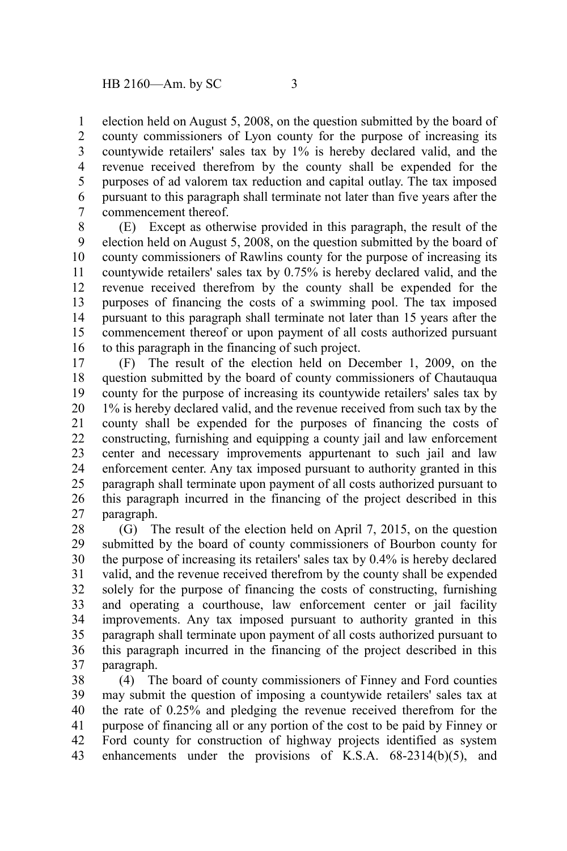election held on August 5, 2008, on the question submitted by the board of county commissioners of Lyon county for the purpose of increasing its countywide retailers' sales tax by 1% is hereby declared valid, and the revenue received therefrom by the county shall be expended for the purposes of ad valorem tax reduction and capital outlay. The tax imposed pursuant to this paragraph shall terminate not later than five years after the commencement thereof. 1 2 3 4 5 6 7

(E) Except as otherwise provided in this paragraph, the result of the election held on August 5, 2008, on the question submitted by the board of county commissioners of Rawlins county for the purpose of increasing its countywide retailers' sales tax by 0.75% is hereby declared valid, and the revenue received therefrom by the county shall be expended for the purposes of financing the costs of a swimming pool. The tax imposed pursuant to this paragraph shall terminate not later than 15 years after the commencement thereof or upon payment of all costs authorized pursuant to this paragraph in the financing of such project. 8 9 10 11 12 13 14 15 16

(F) The result of the election held on December 1, 2009, on the question submitted by the board of county commissioners of Chautauqua county for the purpose of increasing its countywide retailers' sales tax by 1% is hereby declared valid, and the revenue received from such tax by the county shall be expended for the purposes of financing the costs of constructing, furnishing and equipping a county jail and law enforcement center and necessary improvements appurtenant to such jail and law enforcement center. Any tax imposed pursuant to authority granted in this paragraph shall terminate upon payment of all costs authorized pursuant to this paragraph incurred in the financing of the project described in this paragraph. 17 18 19 20 21 22 23 24 25 26 27

(G) The result of the election held on April 7, 2015, on the question submitted by the board of county commissioners of Bourbon county for the purpose of increasing its retailers' sales tax by 0.4% is hereby declared valid, and the revenue received therefrom by the county shall be expended solely for the purpose of financing the costs of constructing, furnishing and operating a courthouse, law enforcement center or jail facility improvements. Any tax imposed pursuant to authority granted in this paragraph shall terminate upon payment of all costs authorized pursuant to this paragraph incurred in the financing of the project described in this paragraph. 28 29 30 31 32 33 34 35 36 37

(4) The board of county commissioners of Finney and Ford counties may submit the question of imposing a countywide retailers' sales tax at the rate of 0.25% and pledging the revenue received therefrom for the purpose of financing all or any portion of the cost to be paid by Finney or Ford county for construction of highway projects identified as system enhancements under the provisions of K.S.A. 68-2314(b)(5), and 38 39 40 41 42 43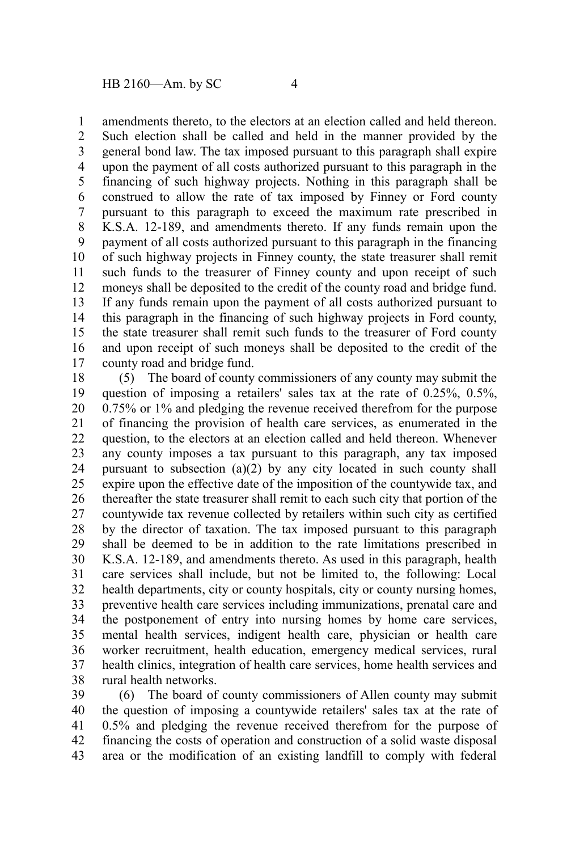amendments thereto, to the electors at an election called and held thereon. 1

Such election shall be called and held in the manner provided by the general bond law. The tax imposed pursuant to this paragraph shall expire upon the payment of all costs authorized pursuant to this paragraph in the financing of such highway projects. Nothing in this paragraph shall be construed to allow the rate of tax imposed by Finney or Ford county pursuant to this paragraph to exceed the maximum rate prescribed in K.S.A. 12-189, and amendments thereto. If any funds remain upon the payment of all costs authorized pursuant to this paragraph in the financing of such highway projects in Finney county, the state treasurer shall remit such funds to the treasurer of Finney county and upon receipt of such moneys shall be deposited to the credit of the county road and bridge fund. If any funds remain upon the payment of all costs authorized pursuant to this paragraph in the financing of such highway projects in Ford county, the state treasurer shall remit such funds to the treasurer of Ford county and upon receipt of such moneys shall be deposited to the credit of the county road and bridge fund. 2 3 4 5 6 7 8 9 10 11 12 13 14 15 16 17

(5) The board of county commissioners of any county may submit the question of imposing a retailers' sales tax at the rate of 0.25%, 0.5%, 0.75% or 1% and pledging the revenue received therefrom for the purpose of financing the provision of health care services, as enumerated in the question, to the electors at an election called and held thereon. Whenever any county imposes a tax pursuant to this paragraph, any tax imposed pursuant to subsection (a)(2) by any city located in such county shall expire upon the effective date of the imposition of the countywide tax, and thereafter the state treasurer shall remit to each such city that portion of the countywide tax revenue collected by retailers within such city as certified by the director of taxation. The tax imposed pursuant to this paragraph shall be deemed to be in addition to the rate limitations prescribed in K.S.A. 12-189, and amendments thereto. As used in this paragraph, health care services shall include, but not be limited to, the following: Local health departments, city or county hospitals, city or county nursing homes, preventive health care services including immunizations, prenatal care and the postponement of entry into nursing homes by home care services, mental health services, indigent health care, physician or health care worker recruitment, health education, emergency medical services, rural health clinics, integration of health care services, home health services and rural health networks. 18 19 20 21 22 23 24 25 26 27 28 29 30 31 32 33 34 35 36 37 38

(6) The board of county commissioners of Allen county may submit the question of imposing a countywide retailers' sales tax at the rate of 0.5% and pledging the revenue received therefrom for the purpose of financing the costs of operation and construction of a solid waste disposal area or the modification of an existing landfill to comply with federal 39 40 41 42 43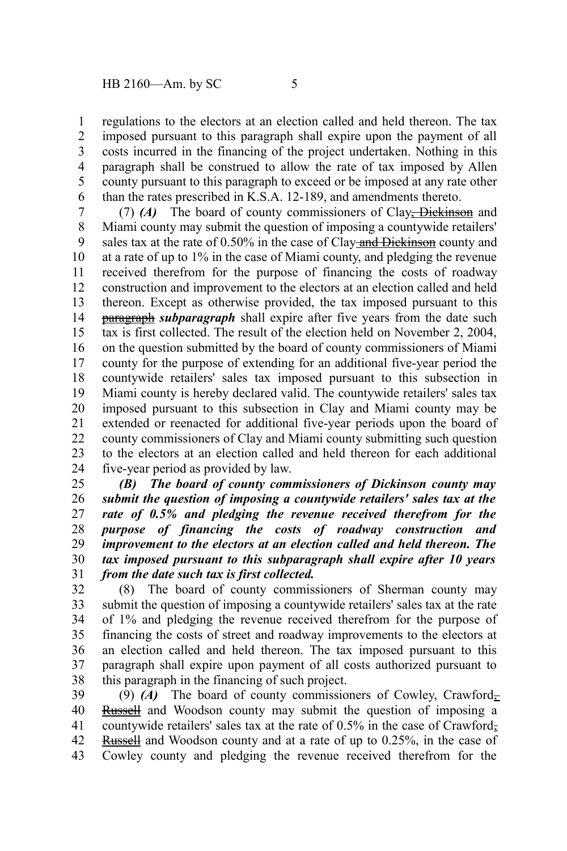regulations to the electors at an election called and held thereon. The tax imposed pursuant to this paragraph shall expire upon the payment of all costs incurred in the financing of the project undertaken. Nothing in this paragraph shall be construed to allow the rate of tax imposed by Allen county pursuant to this paragraph to exceed or be imposed at any rate other than the rates prescribed in K.S.A. 12-189, and amendments thereto. 1 2 3 4 5 6

(7) *(A)* The board of county commissioners of Clay, Dickinson and Miami county may submit the question of imposing a countywide retailers' sales tax at the rate of 0.50% in the case of Clay-and Dickinson county and at a rate of up to 1% in the case of Miami county, and pledging the revenue received therefrom for the purpose of financing the costs of roadway construction and improvement to the electors at an election called and held thereon. Except as otherwise provided, the tax imposed pursuant to this paragraph *subparagraph* shall expire after five years from the date such tax is first collected. The result of the election held on November 2, 2004, on the question submitted by the board of county commissioners of Miami county for the purpose of extending for an additional five-year period the countywide retailers' sales tax imposed pursuant to this subsection in Miami county is hereby declared valid. The countywide retailers' sales tax imposed pursuant to this subsection in Clay and Miami county may be extended or reenacted for additional five-year periods upon the board of county commissioners of Clay and Miami county submitting such question to the electors at an election called and held thereon for each additional five-year period as provided by law. 7 8 9 10 11 12 13 14 15 16 17 18 19 20 21 22 23 24

*(B) The board of county commissioners of Dickinson county may submit the question of imposing a countywide retailers' sales tax at the rate of 0.5% and pledging the revenue received therefrom for the purpose of financing the costs of roadway construction and improvement to the electors at an election called and held thereon. The tax imposed pursuant to this subparagraph shall expire after 10 years from the date such tax is first collected.* 25 26 27 28 29 30 31

(8) The board of county commissioners of Sherman county may submit the question of imposing a countywide retailers' sales tax at the rate of 1% and pledging the revenue received therefrom for the purpose of financing the costs of street and roadway improvements to the electors at an election called and held thereon. The tax imposed pursuant to this paragraph shall expire upon payment of all costs authorized pursuant to this paragraph in the financing of such project. 32 33 34 35 36 37 38

(9) (A) The board of county commissioners of Cowley, Crawford $_{\overline{z}}$ Russell and Woodson county may submit the question of imposing a countywide retailers' sales tax at the rate of  $0.5\%$  in the case of Crawford-Russell and Woodson county and at a rate of up to 0.25%, in the case of Cowley county and pledging the revenue received therefrom for the 39 40 41 42 43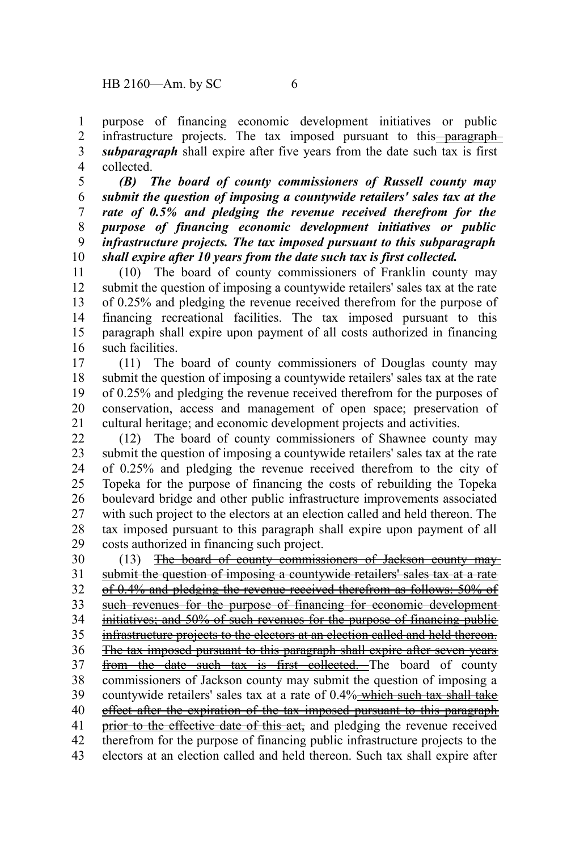purpose of financing economic development initiatives or public infrastructure projects. The tax imposed pursuant to this<del> paragraph</del> *subparagraph* shall expire after five years from the date such tax is first collected. 1 2 3 4

*(B) The board of county commissioners of Russell county may submit the question of imposing a countywide retailers' sales tax at the rate of 0.5% and pledging the revenue received therefrom for the purpose of financing economic development initiatives or public infrastructure projects. The tax imposed pursuant to this subparagraph shall expire after 10 years from the date such tax is first collected.* 5 6 7 8 9 10

(10) The board of county commissioners of Franklin county may submit the question of imposing a countywide retailers' sales tax at the rate of 0.25% and pledging the revenue received therefrom for the purpose of financing recreational facilities. The tax imposed pursuant to this paragraph shall expire upon payment of all costs authorized in financing such facilities. 11 12 13 14 15 16

(11) The board of county commissioners of Douglas county may submit the question of imposing a countywide retailers' sales tax at the rate of 0.25% and pledging the revenue received therefrom for the purposes of conservation, access and management of open space; preservation of cultural heritage; and economic development projects and activities. 17 18 19 20 21

(12) The board of county commissioners of Shawnee county may submit the question of imposing a countywide retailers' sales tax at the rate of 0.25% and pledging the revenue received therefrom to the city of Topeka for the purpose of financing the costs of rebuilding the Topeka boulevard bridge and other public infrastructure improvements associated with such project to the electors at an election called and held thereon. The tax imposed pursuant to this paragraph shall expire upon payment of all costs authorized in financing such project. 22 23 24 25 26 27 28 29

(13) The board of county commissioners of Jackson county may submit the question of imposing a countywide retailers' sales tax at a rate of 0.4% and pledging the revenue received therefrom as follows: 50% of such revenues for the purpose of financing for economic developmentinitiatives; and 50% of such revenues for the purpose of financing public infrastructure projects to the electors at an election called and held thereon. The tax imposed pursuant to this paragraph shall expire after seven years from the date such tax is first collected. The board of county commissioners of Jackson county may submit the question of imposing a countywide retailers' sales tax at a rate of 0.4% which such tax shall take effect after the expiration of the tax imposed pursuant to this paragraph prior to the effective date of this act, and pledging the revenue received therefrom for the purpose of financing public infrastructure projects to the electors at an election called and held thereon. Such tax shall expire after 30 31 32 33 34 35 36 37 38 39 40 41 42 43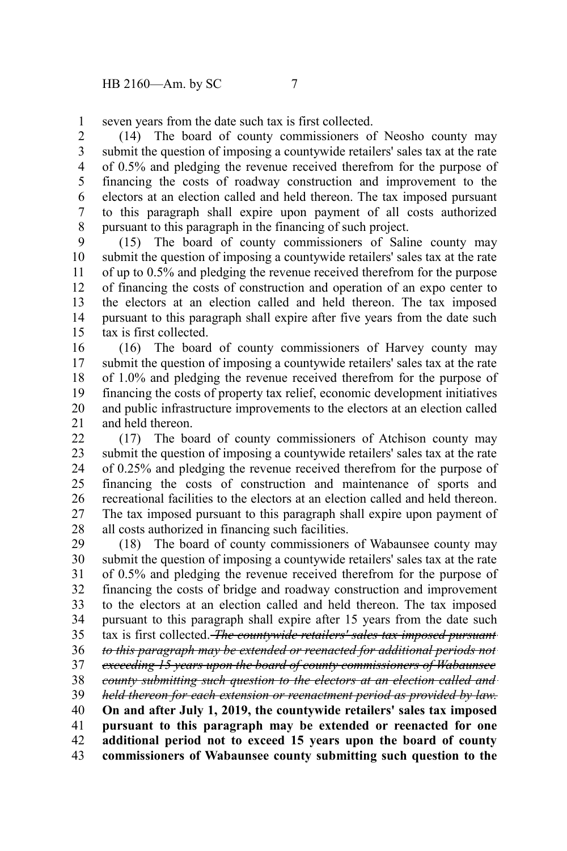seven years from the date such tax is first collected. 1

(14) The board of county commissioners of Neosho county may submit the question of imposing a countywide retailers' sales tax at the rate of 0.5% and pledging the revenue received therefrom for the purpose of financing the costs of roadway construction and improvement to the electors at an election called and held thereon. The tax imposed pursuant to this paragraph shall expire upon payment of all costs authorized pursuant to this paragraph in the financing of such project. 2 3 4 5 6 7 8

(15) The board of county commissioners of Saline county may submit the question of imposing a countywide retailers' sales tax at the rate of up to 0.5% and pledging the revenue received therefrom for the purpose of financing the costs of construction and operation of an expo center to the electors at an election called and held thereon. The tax imposed pursuant to this paragraph shall expire after five years from the date such tax is first collected. 9 10 11 12 13 14 15

(16) The board of county commissioners of Harvey county may submit the question of imposing a countywide retailers' sales tax at the rate of 1.0% and pledging the revenue received therefrom for the purpose of financing the costs of property tax relief, economic development initiatives and public infrastructure improvements to the electors at an election called and held thereon. 16 17 18 19 20 21

(17) The board of county commissioners of Atchison county may submit the question of imposing a countywide retailers' sales tax at the rate of 0.25% and pledging the revenue received therefrom for the purpose of financing the costs of construction and maintenance of sports and recreational facilities to the electors at an election called and held thereon. The tax imposed pursuant to this paragraph shall expire upon payment of all costs authorized in financing such facilities.  $22$ 23 24 25 26 27 28

(18) The board of county commissioners of Wabaunsee county may submit the question of imposing a countywide retailers' sales tax at the rate of 0.5% and pledging the revenue received therefrom for the purpose of financing the costs of bridge and roadway construction and improvement to the electors at an election called and held thereon. The tax imposed pursuant to this paragraph shall expire after 15 years from the date such tax is first collected. *The countywide retailers' sales tax imposed pursuant to this paragraph may be extended or reenacted for additional periods not exceeding 15 years upon the board of county commissioners of Wabaunsee county submitting such question to the electors at an election called and held thereon for each extension or reenactment period as provided by law.* **On and after July 1, 2019, the countywide retailers' sales tax imposed pursuant to this paragraph may be extended or reenacted for one additional period not to exceed 15 years upon the board of county** 29 30 31 32 33 34 35 36 37 38 39 40 41 42

**commissioners of Wabaunsee county submitting such question to the** 43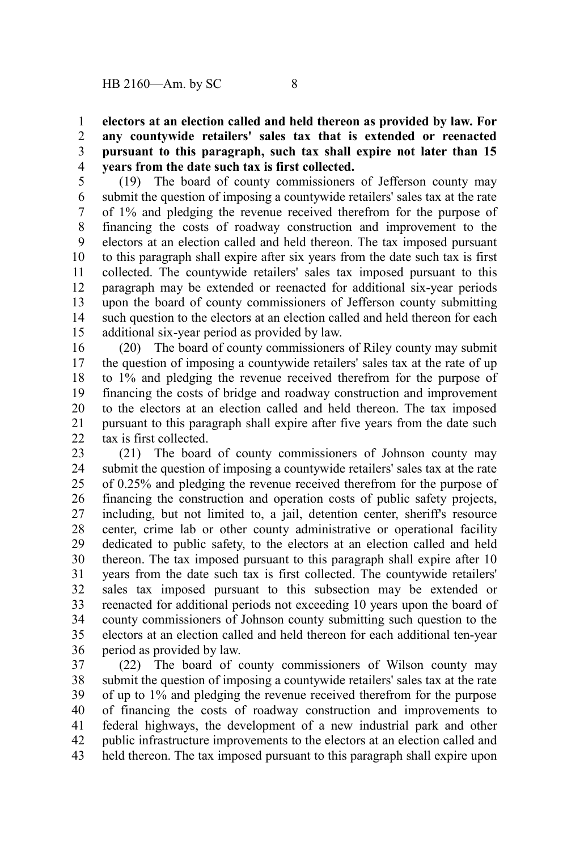**electors at an election called and held thereon as provided by law. For any countywide retailers' sales tax that is extended or reenacted pursuant to this paragraph, such tax shall expire not later than 15 years from the date such tax is first collected.** 1 2 3 4

(19) The board of county commissioners of Jefferson county may submit the question of imposing a countywide retailers' sales tax at the rate of 1% and pledging the revenue received therefrom for the purpose of financing the costs of roadway construction and improvement to the electors at an election called and held thereon. The tax imposed pursuant to this paragraph shall expire after six years from the date such tax is first collected. The countywide retailers' sales tax imposed pursuant to this paragraph may be extended or reenacted for additional six-year periods upon the board of county commissioners of Jefferson county submitting such question to the electors at an election called and held thereon for each additional six-year period as provided by law. 5 6 7 8 9 10 11 12 13 14 15

(20) The board of county commissioners of Riley county may submit the question of imposing a countywide retailers' sales tax at the rate of up to 1% and pledging the revenue received therefrom for the purpose of financing the costs of bridge and roadway construction and improvement to the electors at an election called and held thereon. The tax imposed pursuant to this paragraph shall expire after five years from the date such tax is first collected. 16 17 18 19 20 21  $22$ 

(21) The board of county commissioners of Johnson county may submit the question of imposing a countywide retailers' sales tax at the rate of 0.25% and pledging the revenue received therefrom for the purpose of financing the construction and operation costs of public safety projects, including, but not limited to, a jail, detention center, sheriff's resource center, crime lab or other county administrative or operational facility dedicated to public safety, to the electors at an election called and held thereon. The tax imposed pursuant to this paragraph shall expire after 10 years from the date such tax is first collected. The countywide retailers' sales tax imposed pursuant to this subsection may be extended or reenacted for additional periods not exceeding 10 years upon the board of county commissioners of Johnson county submitting such question to the electors at an election called and held thereon for each additional ten-year period as provided by law. 23 24 25 26 27 28 29 30 31 32 33 34 35 36

(22) The board of county commissioners of Wilson county may submit the question of imposing a countywide retailers' sales tax at the rate of up to 1% and pledging the revenue received therefrom for the purpose of financing the costs of roadway construction and improvements to federal highways, the development of a new industrial park and other public infrastructure improvements to the electors at an election called and held thereon. The tax imposed pursuant to this paragraph shall expire upon 37 38 39 40 41 42 43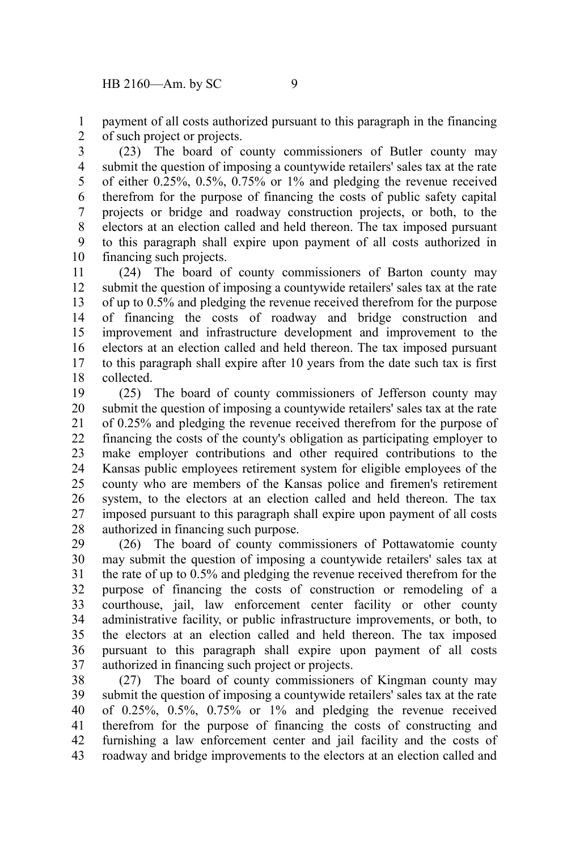payment of all costs authorized pursuant to this paragraph in the financing of such project or projects. 1 2

(23) The board of county commissioners of Butler county may submit the question of imposing a countywide retailers' sales tax at the rate of either 0.25%, 0.5%, 0.75% or 1% and pledging the revenue received therefrom for the purpose of financing the costs of public safety capital projects or bridge and roadway construction projects, or both, to the electors at an election called and held thereon. The tax imposed pursuant to this paragraph shall expire upon payment of all costs authorized in financing such projects. 3 4 5 6 7 8 9 10

(24) The board of county commissioners of Barton county may submit the question of imposing a countywide retailers' sales tax at the rate of up to 0.5% and pledging the revenue received therefrom for the purpose of financing the costs of roadway and bridge construction and improvement and infrastructure development and improvement to the electors at an election called and held thereon. The tax imposed pursuant to this paragraph shall expire after 10 years from the date such tax is first collected. 11 12 13 14 15 16 17 18

(25) The board of county commissioners of Jefferson county may submit the question of imposing a countywide retailers' sales tax at the rate of 0.25% and pledging the revenue received therefrom for the purpose of financing the costs of the county's obligation as participating employer to make employer contributions and other required contributions to the Kansas public employees retirement system for eligible employees of the county who are members of the Kansas police and firemen's retirement system, to the electors at an election called and held thereon. The tax imposed pursuant to this paragraph shall expire upon payment of all costs authorized in financing such purpose. 19 20 21 22 23 24 25 26 27 28

(26) The board of county commissioners of Pottawatomie county may submit the question of imposing a countywide retailers' sales tax at the rate of up to 0.5% and pledging the revenue received therefrom for the purpose of financing the costs of construction or remodeling of a courthouse, jail, law enforcement center facility or other county administrative facility, or public infrastructure improvements, or both, to the electors at an election called and held thereon. The tax imposed pursuant to this paragraph shall expire upon payment of all costs authorized in financing such project or projects. 29 30 31 32 33 34 35 36 37

(27) The board of county commissioners of Kingman county may submit the question of imposing a countywide retailers' sales tax at the rate of 0.25%, 0.5%, 0.75% or 1% and pledging the revenue received therefrom for the purpose of financing the costs of constructing and furnishing a law enforcement center and jail facility and the costs of roadway and bridge improvements to the electors at an election called and 38 39 40 41 42 43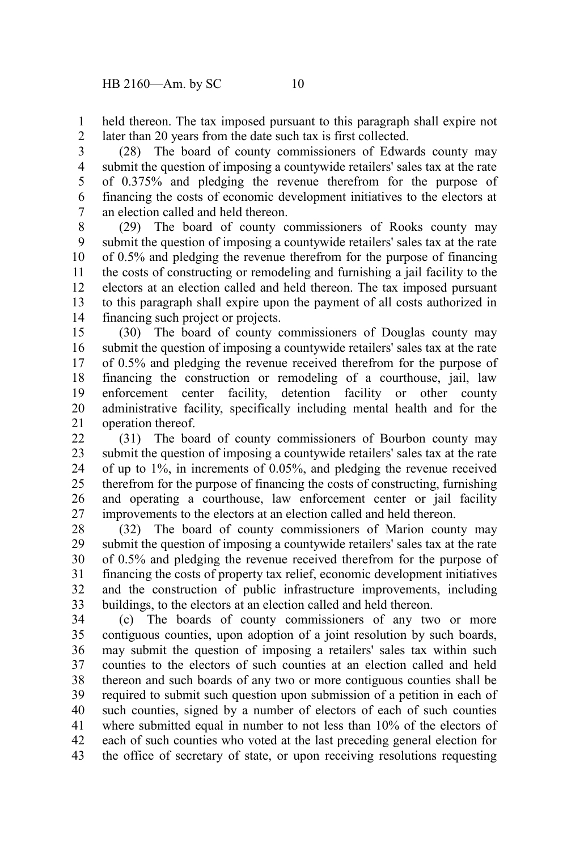held thereon. The tax imposed pursuant to this paragraph shall expire not later than 20 years from the date such tax is first collected. 1 2

(28) The board of county commissioners of Edwards county may submit the question of imposing a countywide retailers' sales tax at the rate of 0.375% and pledging the revenue therefrom for the purpose of financing the costs of economic development initiatives to the electors at an election called and held thereon. 3 4 5 6 7

(29) The board of county commissioners of Rooks county may submit the question of imposing a countywide retailers' sales tax at the rate of 0.5% and pledging the revenue therefrom for the purpose of financing the costs of constructing or remodeling and furnishing a jail facility to the electors at an election called and held thereon. The tax imposed pursuant to this paragraph shall expire upon the payment of all costs authorized in financing such project or projects. 8 9 10 11 12 13 14

(30) The board of county commissioners of Douglas county may submit the question of imposing a countywide retailers' sales tax at the rate of 0.5% and pledging the revenue received therefrom for the purpose of financing the construction or remodeling of a courthouse, jail, law enforcement center facility, detention facility or other county administrative facility, specifically including mental health and for the operation thereof. 15 16 17 18 19 20 21

(31) The board of county commissioners of Bourbon county may submit the question of imposing a countywide retailers' sales tax at the rate of up to 1%, in increments of 0.05%, and pledging the revenue received therefrom for the purpose of financing the costs of constructing, furnishing and operating a courthouse, law enforcement center or jail facility improvements to the electors at an election called and held thereon. 22 23 24 25 26 27

(32) The board of county commissioners of Marion county may submit the question of imposing a countywide retailers' sales tax at the rate of 0.5% and pledging the revenue received therefrom for the purpose of financing the costs of property tax relief, economic development initiatives and the construction of public infrastructure improvements, including buildings, to the electors at an election called and held thereon. 28 29 30 31 32 33

(c) The boards of county commissioners of any two or more contiguous counties, upon adoption of a joint resolution by such boards, may submit the question of imposing a retailers' sales tax within such counties to the electors of such counties at an election called and held thereon and such boards of any two or more contiguous counties shall be required to submit such question upon submission of a petition in each of such counties, signed by a number of electors of each of such counties where submitted equal in number to not less than 10% of the electors of each of such counties who voted at the last preceding general election for the office of secretary of state, or upon receiving resolutions requesting 34 35 36 37 38 39 40 41 42 43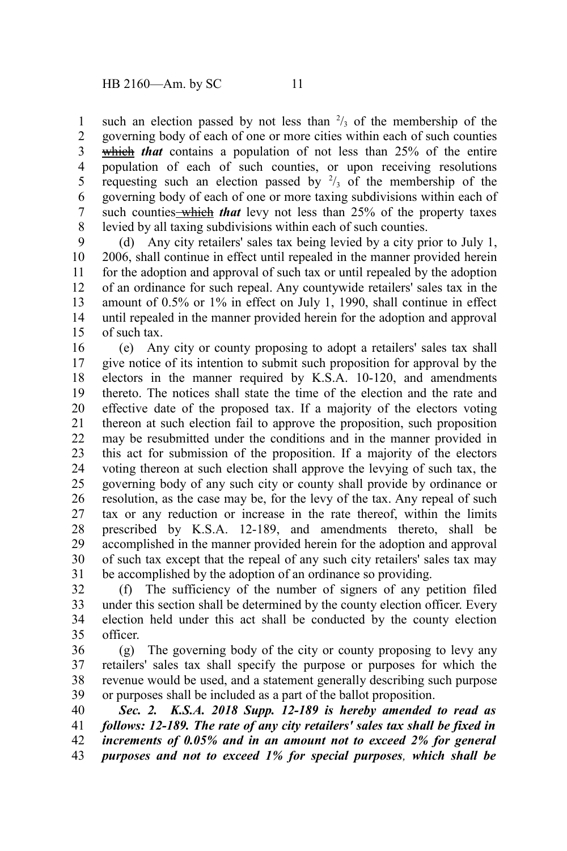such an election passed by not less than  $\frac{2}{3}$  of the membership of the governing body of each of one or more cities within each of such counties which *that* contains a population of not less than 25% of the entire population of each of such counties, or upon receiving resolutions requesting such an election passed by  $\frac{2}{3}$  of the membership of the governing body of each of one or more taxing subdivisions within each of such counties—which that levy not less than 25% of the property taxes levied by all taxing subdivisions within each of such counties. 1 2 3 4 5 6 7 8

(d) Any city retailers' sales tax being levied by a city prior to July 1, 2006, shall continue in effect until repealed in the manner provided herein for the adoption and approval of such tax or until repealed by the adoption of an ordinance for such repeal. Any countywide retailers' sales tax in the amount of 0.5% or 1% in effect on July 1, 1990, shall continue in effect until repealed in the manner provided herein for the adoption and approval of such tax. 9 10 11 12 13 14 15

(e) Any city or county proposing to adopt a retailers' sales tax shall give notice of its intention to submit such proposition for approval by the electors in the manner required by K.S.A. 10-120, and amendments thereto. The notices shall state the time of the election and the rate and effective date of the proposed tax. If a majority of the electors voting thereon at such election fail to approve the proposition, such proposition may be resubmitted under the conditions and in the manner provided in this act for submission of the proposition. If a majority of the electors voting thereon at such election shall approve the levying of such tax, the governing body of any such city or county shall provide by ordinance or resolution, as the case may be, for the levy of the tax. Any repeal of such tax or any reduction or increase in the rate thereof, within the limits prescribed by K.S.A. 12-189, and amendments thereto, shall be accomplished in the manner provided herein for the adoption and approval of such tax except that the repeal of any such city retailers' sales tax may be accomplished by the adoption of an ordinance so providing. 16 17 18 19 20 21 22 23 24 25 26 27 28 29 30 31

(f) The sufficiency of the number of signers of any petition filed under this section shall be determined by the county election officer. Every election held under this act shall be conducted by the county election officer. 32 33 34 35

(g) The governing body of the city or county proposing to levy any retailers' sales tax shall specify the purpose or purposes for which the revenue would be used, and a statement generally describing such purpose or purposes shall be included as a part of the ballot proposition. 36 37 38 39

*Sec. 2. K.S.A. 2018 Supp. 12-189 is hereby amended to read as follows: 12-189. The rate of any city retailers' sales tax shall be fixed in increments of 0.05% and in an amount not to exceed 2% for general purposes and not to exceed 1% for special purposes, which shall be* 40 41 42 43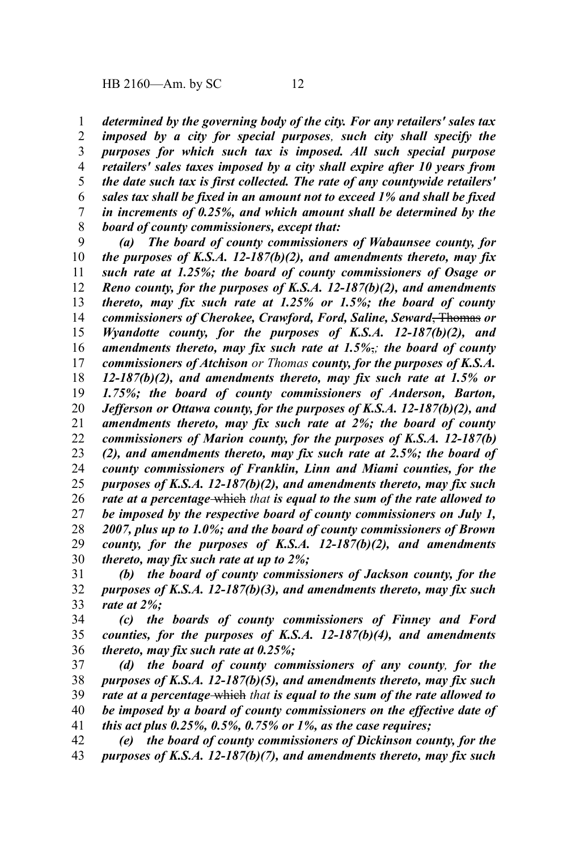*determined by the governing body of the city. For any retailers' sales tax imposed by a city for special purposes, such city shall specify the purposes for which such tax is imposed. All such special purpose retailers' sales taxes imposed by a city shall expire after 10 years from the date such tax is first collected. The rate of any countywide retailers' sales tax shall be fixed in an amount not to exceed 1% and shall be fixed in increments of 0.25%, and which amount shall be determined by the board of county commissioners, except that:* 1 2 3 4 5 6 7 8

*(a) The board of county commissioners of Wabaunsee county, for the purposes of K.S.A. 12-187(b)(2), and amendments thereto, may fix such rate at 1.25%; the board of county commissioners of Osage or Reno county, for the purposes of K.S.A. 12-187(b)(2), and amendments thereto, may fix such rate at 1.25% or 1.5%; the board of county commissioners of Cherokee, Crawford, Ford, Saline, Seward*, Thomas *or Wyandotte county, for the purposes of K.S.A. 12-187(b)(2), and amendments thereto, may fix such rate at 1.5%*,*; the board of county commissioners of Atchison or Thomas county, for the purposes of K.S.A. 12-187(b)(2), and amendments thereto, may fix such rate at 1.5% or 1.75%; the board of county commissioners of Anderson, Barton, Jefferson or Ottawa county, for the purposes of K.S.A. 12-187(b)(2), and amendments thereto, may fix such rate at 2%; the board of county commissioners of Marion county, for the purposes of K.S.A. 12-187(b) (2), and amendments thereto, may fix such rate at 2.5%; the board of county commissioners of Franklin, Linn and Miami counties, for the purposes of K.S.A. 12-187(b)(2), and amendments thereto, may fix such rate at a percentage* which *that is equal to the sum of the rate allowed to be imposed by the respective board of county commissioners on July 1, 2007, plus up to 1.0%; and the board of county commissioners of Brown county, for the purposes of K.S.A. 12-187(b)(2), and amendments thereto, may fix such rate at up to 2%;* 9 10 11 12 13 14 15 16 17 18 19 20 21 22 23 24 25 26 27 28 29 30

*(b) the board of county commissioners of Jackson county, for the purposes of K.S.A. 12-187(b)(3), and amendments thereto, may fix such rate at 2%;* 31 32 33

*(c) the boards of county commissioners of Finney and Ford counties, for the purposes of K.S.A. 12-187(b)(4), and amendments thereto, may fix such rate at 0.25%;* 34 35 36

*(d) the board of county commissioners of any county, for the purposes of K.S.A. 12-187(b)(5), and amendments thereto, may fix such rate at a percentage* which *that is equal to the sum of the rate allowed to be imposed by a board of county commissioners on the effective date of this act plus 0.25%, 0.5%, 0.75% or 1%, as the case requires;* 37 38 39 40 41

*(e) the board of county commissioners of Dickinson county, for the purposes of K.S.A. 12-187(b)(7), and amendments thereto, may fix such* 42 43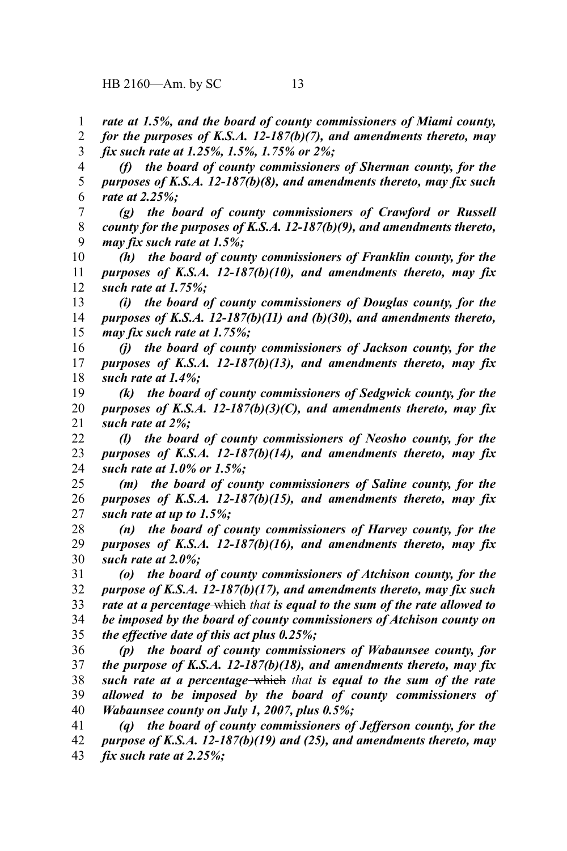*rate at 1.5%, and the board of county commissioners of Miami county,* 1

*for the purposes of K.S.A. 12-187(b)(7), and amendments thereto, may fix such rate at 1.25%, 1.5%, 1.75% or 2%;* 2 3

*(f) the board of county commissioners of Sherman county, for the purposes of K.S.A. 12-187(b)(8), and amendments thereto, may fix such rate at 2.25%;* 4 5 6

*(g) the board of county commissioners of Crawford or Russell county for the purposes of K.S.A. 12-187(b)(9), and amendments thereto, may fix such rate at 1.5%;* 7 8 9

*(h) the board of county commissioners of Franklin county, for the purposes of K.S.A. 12-187(b)(10), and amendments thereto, may fix such rate at 1.75%;* 10 11 12

*(i) the board of county commissioners of Douglas county, for the purposes of K.S.A. 12-187(b)(11) and (b)(30), and amendments thereto, may fix such rate at 1.75%;* 13 14 15

*(j) the board of county commissioners of Jackson county, for the purposes of K.S.A. 12-187(b)(13), and amendments thereto, may fix such rate at 1.4%;* 16 17 18

*(k) the board of county commissioners of Sedgwick county, for the purposes of K.S.A. 12-187(b)(3)(C), and amendments thereto, may fix such rate at 2%;* 19 20 21

*(l) the board of county commissioners of Neosho county, for the purposes of K.S.A. 12-187(b)(14), and amendments thereto, may fix such rate at 1.0% or 1.5%;* 22 23 24

*(m) the board of county commissioners of Saline county, for the purposes of K.S.A. 12-187(b)(15), and amendments thereto, may fix such rate at up to 1.5%;* 25 26 27

*(n) the board of county commissioners of Harvey county, for the purposes of K.S.A. 12-187(b)(16), and amendments thereto, may fix such rate at 2.0%;* 28 29 30

*(o) the board of county commissioners of Atchison county, for the purpose of K.S.A. 12-187(b)(17), and amendments thereto, may fix such rate at a percentage* which *that is equal to the sum of the rate allowed to be imposed by the board of county commissioners of Atchison county on the effective date of this act plus 0.25%;* 31 32 33 34 35

*(p) the board of county commissioners of Wabaunsee county, for the purpose of K.S.A. 12-187(b)(18), and amendments thereto, may fix such rate at a percentage* which *that is equal to the sum of the rate allowed to be imposed by the board of county commissioners of Wabaunsee county on July 1, 2007, plus 0.5%;* 36 37 38 39 40

*(q) the board of county commissioners of Jefferson county, for the purpose of K.S.A. 12-187(b)(19) and (25), and amendments thereto, may fix such rate at 2.25%;* 41 42 43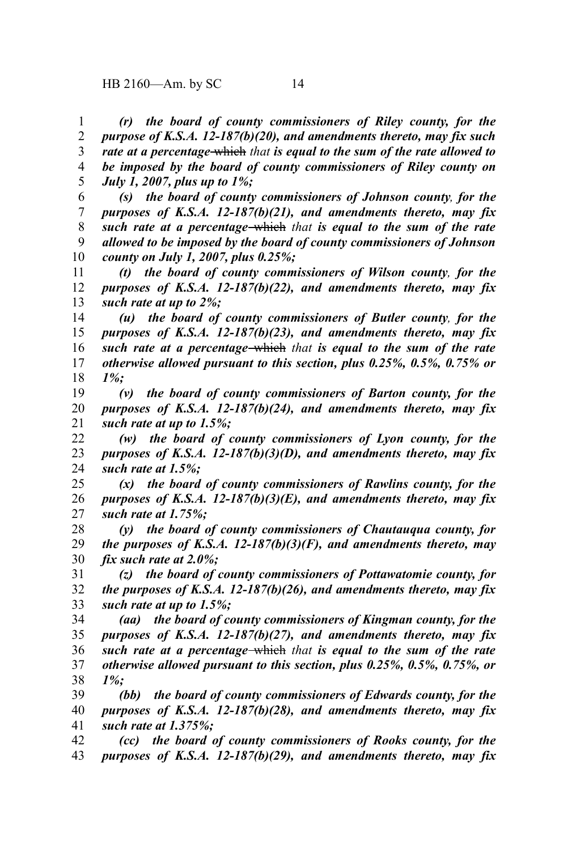*(r) the board of county commissioners of Riley county, for the purpose of K.S.A. 12-187(b)(20), and amendments thereto, may fix such rate at a percentage* which *that is equal to the sum of the rate allowed to be imposed by the board of county commissioners of Riley county on July 1, 2007, plus up to 1%;* 1 2 3 4 5

*(s) the board of county commissioners of Johnson county, for the purposes of K.S.A. 12-187(b)(21), and amendments thereto, may fix such rate at a percentage* which *that is equal to the sum of the rate allowed to be imposed by the board of county commissioners of Johnson county on July 1, 2007, plus 0.25%;* 6 7 8 9 10

*(t) the board of county commissioners of Wilson county, for the purposes of K.S.A. 12-187(b)(22), and amendments thereto, may fix such rate at up to 2%;* 11 12 13

*(u) the board of county commissioners of Butler county, for the purposes of K.S.A. 12-187(b)(23), and amendments thereto, may fix such rate at a percentage* which *that is equal to the sum of the rate otherwise allowed pursuant to this section, plus 0.25%, 0.5%, 0.75% or 1%;* 14 15 16 17 18

*(v) the board of county commissioners of Barton county, for the purposes of K.S.A. 12-187(b)(24), and amendments thereto, may fix such rate at up to 1.5%;* 19 20 21

*(w) the board of county commissioners of Lyon county, for the purposes of K.S.A. 12-187(b)(3)(D), and amendments thereto, may fix such rate at 1.5%;* 22 23 24

*(x) the board of county commissioners of Rawlins county, for the purposes of K.S.A. 12-187(b)(3)(E), and amendments thereto, may fix such rate at 1.75%;* 25 26 27

*(y) the board of county commissioners of Chautauqua county, for the purposes of K.S.A. 12-187(b)(3)(F), and amendments thereto, may fix such rate at 2.0%;* 28 29 30

*(z) the board of county commissioners of Pottawatomie county, for the purposes of K.S.A. 12-187(b)(26), and amendments thereto, may fix such rate at up to 1.5%;* 31 32 33

*(aa) the board of county commissioners of Kingman county, for the purposes of K.S.A. 12-187(b)(27), and amendments thereto, may fix such rate at a percentage* which *that is equal to the sum of the rate otherwise allowed pursuant to this section, plus 0.25%, 0.5%, 0.75%, or 1%;* 34 35 36 37 38

*(bb) the board of county commissioners of Edwards county, for the purposes of K.S.A. 12-187(b)(28), and amendments thereto, may fix such rate at 1.375%;* 39 40 41

*(cc) the board of county commissioners of Rooks county, for the purposes of K.S.A. 12-187(b)(29), and amendments thereto, may fix* 42 43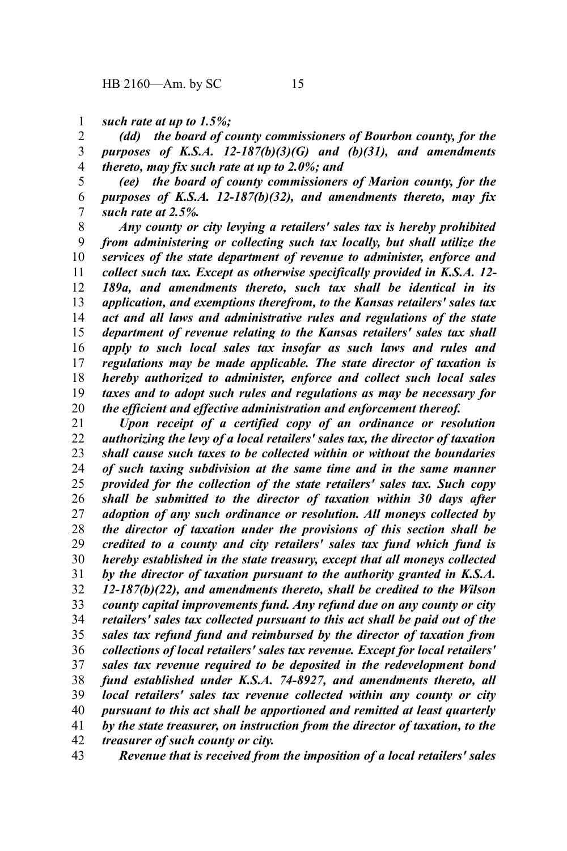*such rate at up to 1.5%;* 1

*(dd) the board of county commissioners of Bourbon county, for the purposes of K.S.A. 12-187(b)(3)(G) and (b)(31), and amendments thereto, may fix such rate at up to 2.0%; and* 2 3 4

*(ee) the board of county commissioners of Marion county, for the purposes of K.S.A. 12-187(b)(32), and amendments thereto, may fix such rate at 2.5%.* 5 6 7

*Any county or city levying a retailers' sales tax is hereby prohibited from administering or collecting such tax locally, but shall utilize the services of the state department of revenue to administer, enforce and collect such tax. Except as otherwise specifically provided in K.S.A. 12- 189a, and amendments thereto, such tax shall be identical in its application, and exemptions therefrom, to the Kansas retailers' sales tax act and all laws and administrative rules and regulations of the state department of revenue relating to the Kansas retailers' sales tax shall apply to such local sales tax insofar as such laws and rules and regulations may be made applicable. The state director of taxation is hereby authorized to administer, enforce and collect such local sales taxes and to adopt such rules and regulations as may be necessary for the efficient and effective administration and enforcement thereof.* 8 9 10 11 12 13 14 15 16 17 18 19 20

*Upon receipt of a certified copy of an ordinance or resolution authorizing the levy of a local retailers' sales tax, the director of taxation shall cause such taxes to be collected within or without the boundaries of such taxing subdivision at the same time and in the same manner provided for the collection of the state retailers' sales tax. Such copy shall be submitted to the director of taxation within 30 days after adoption of any such ordinance or resolution. All moneys collected by the director of taxation under the provisions of this section shall be credited to a county and city retailers' sales tax fund which fund is hereby established in the state treasury, except that all moneys collected by the director of taxation pursuant to the authority granted in K.S.A. 12-187(b)(22), and amendments thereto, shall be credited to the Wilson county capital improvements fund. Any refund due on any county or city retailers' sales tax collected pursuant to this act shall be paid out of the sales tax refund fund and reimbursed by the director of taxation from collections of local retailers' sales tax revenue. Except for local retailers' sales tax revenue required to be deposited in the redevelopment bond fund established under K.S.A. 74-8927, and amendments thereto, all local retailers' sales tax revenue collected within any county or city pursuant to this act shall be apportioned and remitted at least quarterly by the state treasurer, on instruction from the director of taxation, to the treasurer of such county or city.* 21 22 23 24 25 26 27 28 29 30 31 32 33 34 35 36 37 38 39 40 41 42

*Revenue that is received from the imposition of a local retailers' sales* 43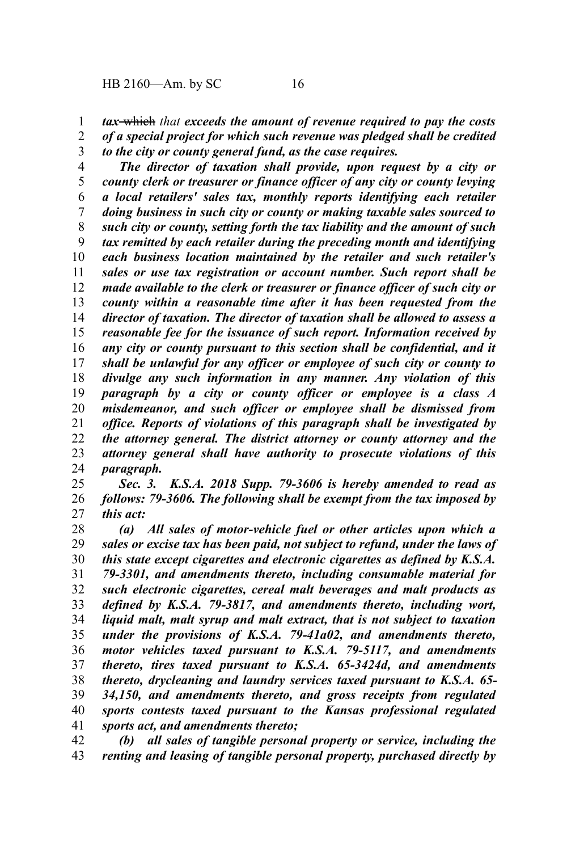- *tax* which *that exceeds the amount of revenue required to pay the costs* 1
- *of a special project for which such revenue was pledged shall be credited to the city or county general fund, as the case requires.* 2 3
- 

*The director of taxation shall provide, upon request by a city or county clerk or treasurer or finance officer of any city or county levying a local retailers' sales tax, monthly reports identifying each retailer doing business in such city or county or making taxable sales sourced to such city or county, setting forth the tax liability and the amount of such tax remitted by each retailer during the preceding month and identifying each business location maintained by the retailer and such retailer's sales or use tax registration or account number. Such report shall be made available to the clerk or treasurer or finance officer of such city or county within a reasonable time after it has been requested from the director of taxation. The director of taxation shall be allowed to assess a reasonable fee for the issuance of such report. Information received by any city or county pursuant to this section shall be confidential, and it shall be unlawful for any officer or employee of such city or county to divulge any such information in any manner. Any violation of this paragraph by a city or county officer or employee is a class A misdemeanor, and such officer or employee shall be dismissed from office. Reports of violations of this paragraph shall be investigated by the attorney general. The district attorney or county attorney and the attorney general shall have authority to prosecute violations of this paragraph.* 4 5 6 7 8 9 10 11 12 13 14 15 16 17 18 19 20 21 22 23 24

*Sec. 3. K.S.A. 2018 Supp. 79-3606 is hereby amended to read as follows: 79-3606. The following shall be exempt from the tax imposed by this act:* 25 26 27

*(a) All sales of motor-vehicle fuel or other articles upon which a sales or excise tax has been paid, not subject to refund, under the laws of this state except cigarettes and electronic cigarettes as defined by K.S.A. 79-3301, and amendments thereto, including consumable material for such electronic cigarettes, cereal malt beverages and malt products as defined by K.S.A. 79-3817, and amendments thereto, including wort, liquid malt, malt syrup and malt extract, that is not subject to taxation under the provisions of K.S.A. 79-41a02, and amendments thereto, motor vehicles taxed pursuant to K.S.A. 79-5117, and amendments thereto, tires taxed pursuant to K.S.A. 65-3424d, and amendments thereto, drycleaning and laundry services taxed pursuant to K.S.A. 65- 34,150, and amendments thereto, and gross receipts from regulated sports contests taxed pursuant to the Kansas professional regulated sports act, and amendments thereto;* 28 29 30 31 32 33 34 35 36 37 38 39 40 41

*(b) all sales of tangible personal property or service, including the renting and leasing of tangible personal property, purchased directly by* 42 43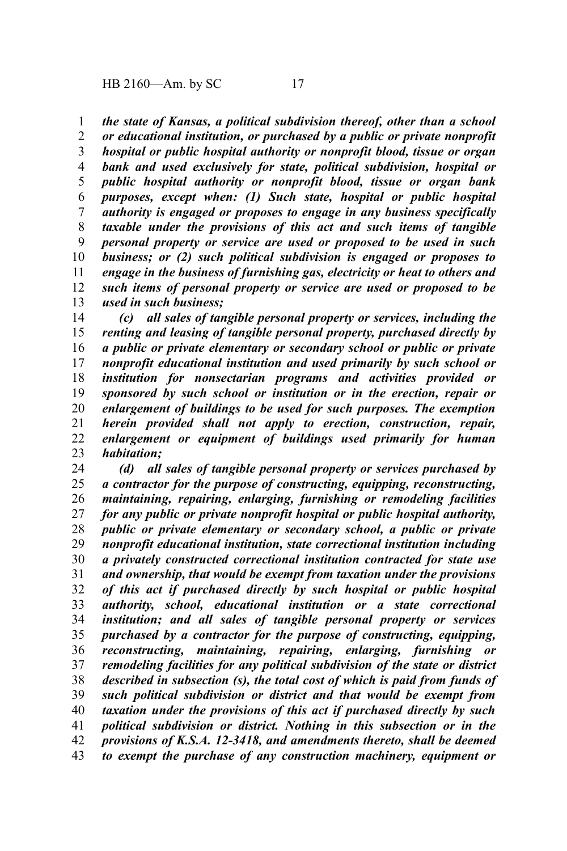*the state of Kansas, a political subdivision thereof, other than a school* 1

*or educational institution, or purchased by a public or private nonprofit hospital or public hospital authority or nonprofit blood, tissue or organ bank and used exclusively for state, political subdivision, hospital or public hospital authority or nonprofit blood, tissue or organ bank purposes, except when: (1) Such state, hospital or public hospital authority is engaged or proposes to engage in any business specifically taxable under the provisions of this act and such items of tangible personal property or service are used or proposed to be used in such business; or (2) such political subdivision is engaged or proposes to engage in the business of furnishing gas, electricity or heat to others and such items of personal property or service are used or proposed to be used in such business;* 2 3 4 5 6 7 8 9 10 11 12 13

*(c) all sales of tangible personal property or services, including the renting and leasing of tangible personal property, purchased directly by a public or private elementary or secondary school or public or private nonprofit educational institution and used primarily by such school or institution for nonsectarian programs and activities provided or sponsored by such school or institution or in the erection, repair or enlargement of buildings to be used for such purposes. The exemption herein provided shall not apply to erection, construction, repair, enlargement or equipment of buildings used primarily for human habitation;* 14 15 16 17 18 19 20 21 22 23

*(d) all sales of tangible personal property or services purchased by a contractor for the purpose of constructing, equipping, reconstructing, maintaining, repairing, enlarging, furnishing or remodeling facilities for any public or private nonprofit hospital or public hospital authority, public or private elementary or secondary school, a public or private nonprofit educational institution, state correctional institution including a privately constructed correctional institution contracted for state use and ownership, that would be exempt from taxation under the provisions of this act if purchased directly by such hospital or public hospital authority, school, educational institution or a state correctional institution; and all sales of tangible personal property or services purchased by a contractor for the purpose of constructing, equipping, reconstructing, maintaining, repairing, enlarging, furnishing or remodeling facilities for any political subdivision of the state or district described in subsection (s), the total cost of which is paid from funds of such political subdivision or district and that would be exempt from taxation under the provisions of this act if purchased directly by such political subdivision or district. Nothing in this subsection or in the provisions of K.S.A. 12-3418, and amendments thereto, shall be deemed to exempt the purchase of any construction machinery, equipment or* 24 25 26 27 28 29 30 31 32 33 34 35 36 37 38 39 40 41 42 43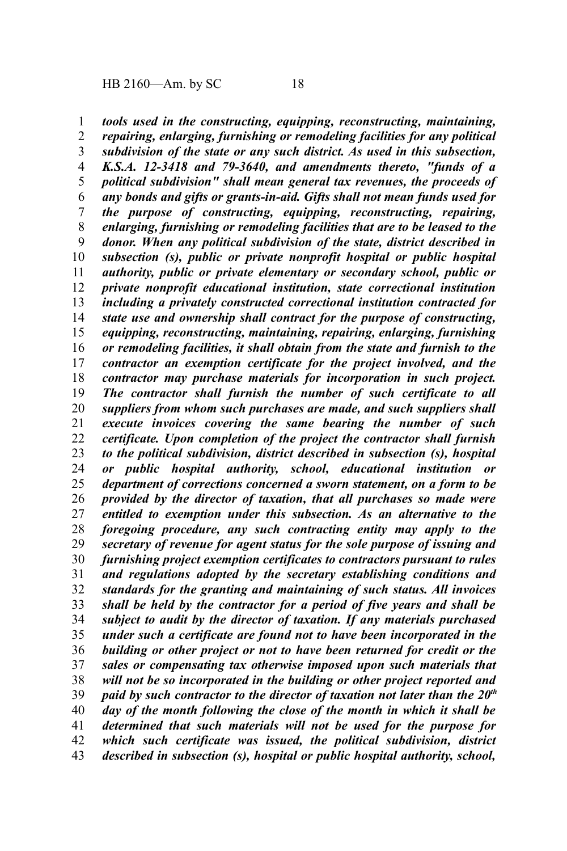*tools used in the constructing, equipping, reconstructing, maintaining, repairing, enlarging, furnishing or remodeling facilities for any political subdivision of the state or any such district. As used in this subsection, K.S.A. 12-3418 and 79-3640, and amendments thereto, "funds of a political subdivision" shall mean general tax revenues, the proceeds of any bonds and gifts or grants-in-aid. Gifts shall not mean funds used for the purpose of constructing, equipping, reconstructing, repairing, enlarging, furnishing or remodeling facilities that are to be leased to the donor. When any political subdivision of the state, district described in subsection (s), public or private nonprofit hospital or public hospital authority, public or private elementary or secondary school, public or private nonprofit educational institution, state correctional institution including a privately constructed correctional institution contracted for state use and ownership shall contract for the purpose of constructing, equipping, reconstructing, maintaining, repairing, enlarging, furnishing or remodeling facilities, it shall obtain from the state and furnish to the contractor an exemption certificate for the project involved, and the contractor may purchase materials for incorporation in such project. The contractor shall furnish the number of such certificate to all suppliers from whom such purchases are made, and such suppliers shall execute invoices covering the same bearing the number of such certificate. Upon completion of the project the contractor shall furnish to the political subdivision, district described in subsection (s), hospital or public hospital authority, school, educational institution or department of corrections concerned a sworn statement, on a form to be provided by the director of taxation, that all purchases so made were entitled to exemption under this subsection. As an alternative to the foregoing procedure, any such contracting entity may apply to the secretary of revenue for agent status for the sole purpose of issuing and furnishing project exemption certificates to contractors pursuant to rules and regulations adopted by the secretary establishing conditions and standards for the granting and maintaining of such status. All invoices shall be held by the contractor for a period of five years and shall be subject to audit by the director of taxation. If any materials purchased under such a certificate are found not to have been incorporated in the building or other project or not to have been returned for credit or the sales or compensating tax otherwise imposed upon such materials that will not be so incorporated in the building or other project reported and paid by such contractor to the director of taxation not later than the 20th day of the month following the close of the month in which it shall be determined that such materials will not be used for the purpose for which such certificate was issued, the political subdivision, district described in subsection (s), hospital or public hospital authority, school,* 1 2 3 4 5 6 7 8 9 10 11 12 13 14 15 16 17 18 19 20 21 22 23 24 25 26 27 28 29 30 31 32 33 34 35 36 37 38 39 40 41 42 43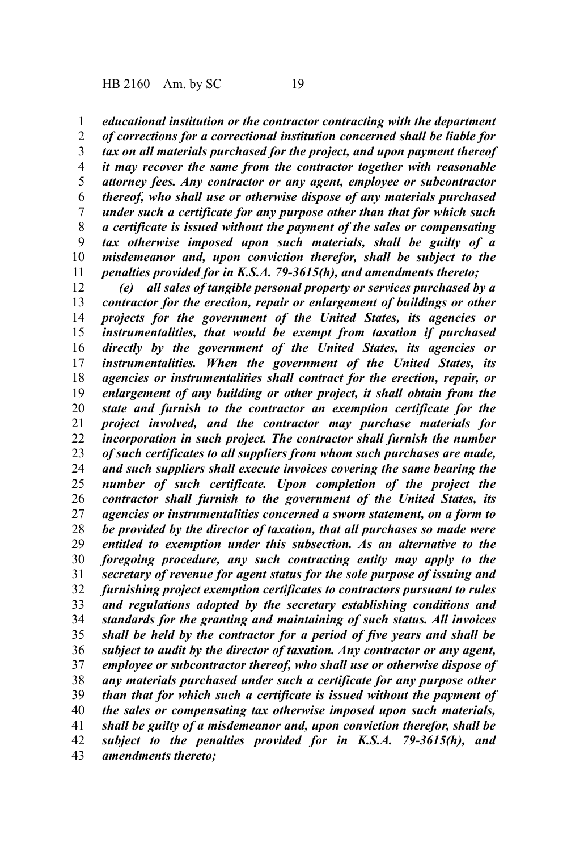*educational institution or the contractor contracting with the department* 1

*of corrections for a correctional institution concerned shall be liable for tax on all materials purchased for the project, and upon payment thereof it may recover the same from the contractor together with reasonable attorney fees. Any contractor or any agent, employee or subcontractor thereof, who shall use or otherwise dispose of any materials purchased under such a certificate for any purpose other than that for which such a certificate is issued without the payment of the sales or compensating tax otherwise imposed upon such materials, shall be guilty of a misdemeanor and, upon conviction therefor, shall be subject to the penalties provided for in K.S.A. 79-3615(h), and amendments thereto;* 2 3 4 5 6 7 8 9 10 11

*(e) all sales of tangible personal property or services purchased by a contractor for the erection, repair or enlargement of buildings or other projects for the government of the United States, its agencies or instrumentalities, that would be exempt from taxation if purchased directly by the government of the United States, its agencies or instrumentalities. When the government of the United States, its agencies or instrumentalities shall contract for the erection, repair, or enlargement of any building or other project, it shall obtain from the state and furnish to the contractor an exemption certificate for the project involved, and the contractor may purchase materials for incorporation in such project. The contractor shall furnish the number of such certificates to all suppliers from whom such purchases are made, and such suppliers shall execute invoices covering the same bearing the number of such certificate. Upon completion of the project the contractor shall furnish to the government of the United States, its agencies or instrumentalities concerned a sworn statement, on a form to be provided by the director of taxation, that all purchases so made were entitled to exemption under this subsection. As an alternative to the foregoing procedure, any such contracting entity may apply to the secretary of revenue for agent status for the sole purpose of issuing and furnishing project exemption certificates to contractors pursuant to rules and regulations adopted by the secretary establishing conditions and standards for the granting and maintaining of such status. All invoices shall be held by the contractor for a period of five years and shall be subject to audit by the director of taxation. Any contractor or any agent, employee or subcontractor thereof, who shall use or otherwise dispose of any materials purchased under such a certificate for any purpose other than that for which such a certificate is issued without the payment of the sales or compensating tax otherwise imposed upon such materials, shall be guilty of a misdemeanor and, upon conviction therefor, shall be subject to the penalties provided for in K.S.A. 79-3615(h), and amendments thereto;* 12 13 14 15 16 17 18 19 20 21 22 23 24 25 26 27 28 29 30 31 32 33 34 35 36 37 38 39 40 41 42 43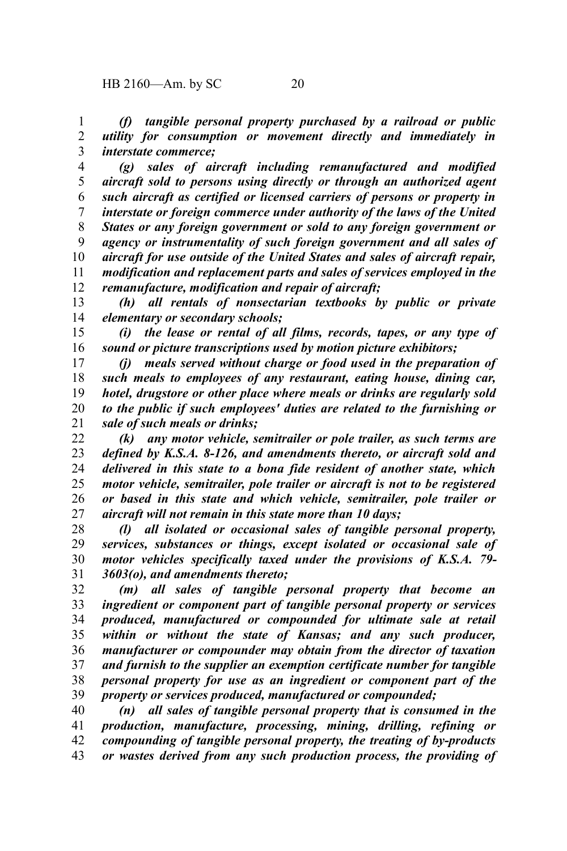*(f) tangible personal property purchased by a railroad or public utility for consumption or movement directly and immediately in interstate commerce;* 1 2 3

*(g) sales of aircraft including remanufactured and modified aircraft sold to persons using directly or through an authorized agent such aircraft as certified or licensed carriers of persons or property in interstate or foreign commerce under authority of the laws of the United States or any foreign government or sold to any foreign government or agency or instrumentality of such foreign government and all sales of aircraft for use outside of the United States and sales of aircraft repair, modification and replacement parts and sales of services employed in the remanufacture, modification and repair of aircraft;* 4 5 6 7 8 9 10 11 12

*(h) all rentals of nonsectarian textbooks by public or private elementary or secondary schools;* 13 14

*(i) the lease or rental of all films, records, tapes, or any type of sound or picture transcriptions used by motion picture exhibitors;* 15 16

*(j) meals served without charge or food used in the preparation of such meals to employees of any restaurant, eating house, dining car, hotel, drugstore or other place where meals or drinks are regularly sold to the public if such employees' duties are related to the furnishing or sale of such meals or drinks;* 17 18 19 20 21

*(k) any motor vehicle, semitrailer or pole trailer, as such terms are defined by K.S.A. 8-126, and amendments thereto, or aircraft sold and delivered in this state to a bona fide resident of another state, which motor vehicle, semitrailer, pole trailer or aircraft is not to be registered or based in this state and which vehicle, semitrailer, pole trailer or aircraft will not remain in this state more than 10 days;* 22 23 24 25 26 27

*(l) all isolated or occasional sales of tangible personal property, services, substances or things, except isolated or occasional sale of motor vehicles specifically taxed under the provisions of K.S.A. 79- 3603(o), and amendments thereto;* 28 29 30 31

*(m) all sales of tangible personal property that become an ingredient or component part of tangible personal property or services produced, manufactured or compounded for ultimate sale at retail within or without the state of Kansas; and any such producer, manufacturer or compounder may obtain from the director of taxation and furnish to the supplier an exemption certificate number for tangible personal property for use as an ingredient or component part of the property or services produced, manufactured or compounded;* 32 33 34 35 36 37 38 39

*(n) all sales of tangible personal property that is consumed in the production, manufacture, processing, mining, drilling, refining or compounding of tangible personal property, the treating of by-products or wastes derived from any such production process, the providing of* 40 41 42 43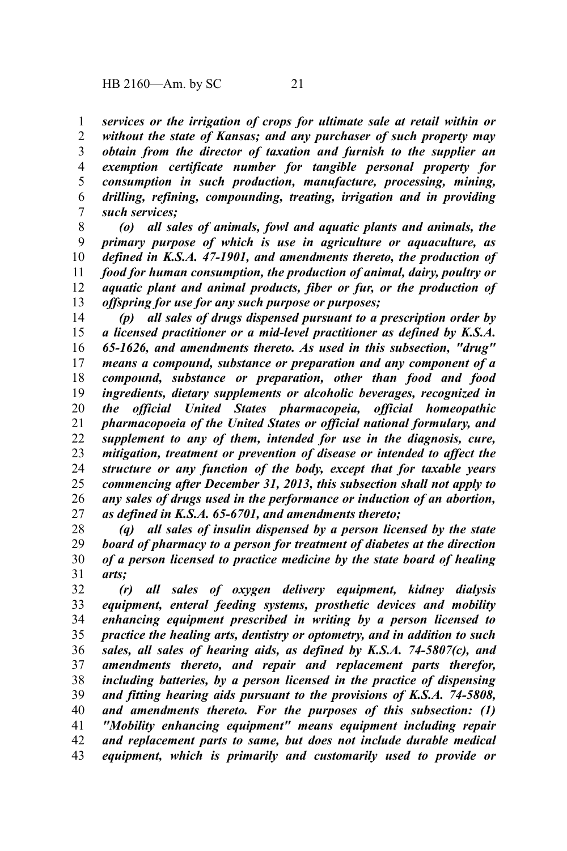*services or the irrigation of crops for ultimate sale at retail within or without the state of Kansas; and any purchaser of such property may obtain from the director of taxation and furnish to the supplier an exemption certificate number for tangible personal property for consumption in such production, manufacture, processing, mining, drilling, refining, compounding, treating, irrigation and in providing such services;* 1 2 3 4 5 6 7

*(o) all sales of animals, fowl and aquatic plants and animals, the primary purpose of which is use in agriculture or aquaculture, as defined in K.S.A. 47-1901, and amendments thereto, the production of food for human consumption, the production of animal, dairy, poultry or aquatic plant and animal products, fiber or fur, or the production of offspring for use for any such purpose or purposes;* 8 9 10 11 12 13

*(p) all sales of drugs dispensed pursuant to a prescription order by a licensed practitioner or a mid-level practitioner as defined by K.S.A. 65-1626, and amendments thereto. As used in this subsection, "drug" means a compound, substance or preparation and any component of a compound, substance or preparation, other than food and food ingredients, dietary supplements or alcoholic beverages, recognized in the official United States pharmacopeia, official homeopathic pharmacopoeia of the United States or official national formulary, and supplement to any of them, intended for use in the diagnosis, cure, mitigation, treatment or prevention of disease or intended to affect the structure or any function of the body, except that for taxable years commencing after December 31, 2013, this subsection shall not apply to any sales of drugs used in the performance or induction of an abortion, as defined in K.S.A. 65-6701, and amendments thereto;* 14 15 16 17 18 19 20 21 22 23 24 25 26 27

*(q) all sales of insulin dispensed by a person licensed by the state board of pharmacy to a person for treatment of diabetes at the direction of a person licensed to practice medicine by the state board of healing arts;* 28 29 30 31

*(r) all sales of oxygen delivery equipment, kidney dialysis equipment, enteral feeding systems, prosthetic devices and mobility enhancing equipment prescribed in writing by a person licensed to practice the healing arts, dentistry or optometry, and in addition to such sales, all sales of hearing aids, as defined by K.S.A. 74-5807(c), and amendments thereto, and repair and replacement parts therefor, including batteries, by a person licensed in the practice of dispensing and fitting hearing aids pursuant to the provisions of K.S.A. 74-5808, and amendments thereto. For the purposes of this subsection: (1) "Mobility enhancing equipment" means equipment including repair and replacement parts to same, but does not include durable medical equipment, which is primarily and customarily used to provide or* 32 33 34 35 36 37 38 39 40 41 42 43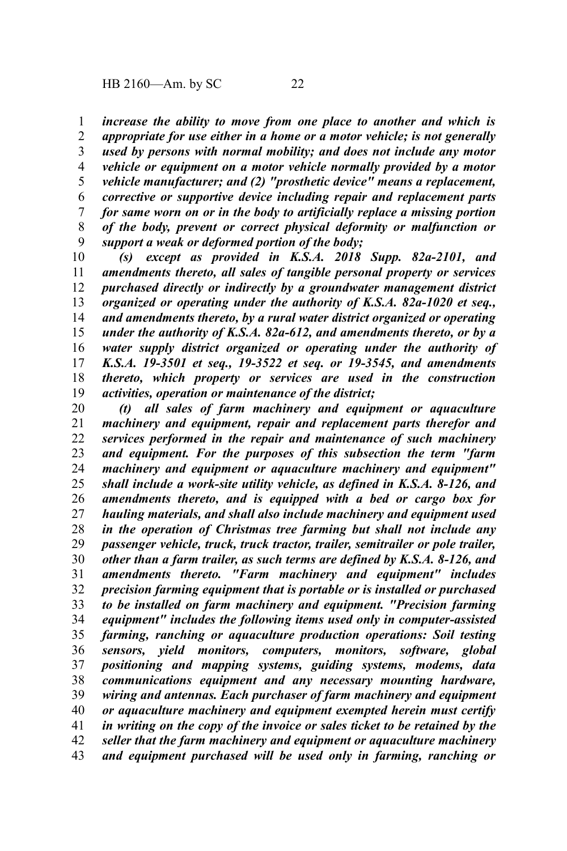*increase the ability to move from one place to another and which is appropriate for use either in a home or a motor vehicle; is not generally used by persons with normal mobility; and does not include any motor vehicle or equipment on a motor vehicle normally provided by a motor vehicle manufacturer; and (2) "prosthetic device" means a replacement, corrective or supportive device including repair and replacement parts for same worn on or in the body to artificially replace a missing portion of the body, prevent or correct physical deformity or malfunction or support a weak or deformed portion of the body;* 1 2 3 4 5 6 7 8 9

*(s) except as provided in K.S.A. 2018 Supp. 82a-2101, and amendments thereto, all sales of tangible personal property or services purchased directly or indirectly by a groundwater management district organized or operating under the authority of K.S.A. 82a-1020 et seq., and amendments thereto, by a rural water district organized or operating under the authority of K.S.A. 82a-612, and amendments thereto, or by a water supply district organized or operating under the authority of K.S.A. 19-3501 et seq., 19-3522 et seq. or 19-3545, and amendments thereto, which property or services are used in the construction activities, operation or maintenance of the district;* 10 11 12 13 14 15 16 17 18 19

*(t) all sales of farm machinery and equipment or aquaculture machinery and equipment, repair and replacement parts therefor and services performed in the repair and maintenance of such machinery and equipment. For the purposes of this subsection the term "farm machinery and equipment or aquaculture machinery and equipment" shall include a work-site utility vehicle, as defined in K.S.A. 8-126, and amendments thereto, and is equipped with a bed or cargo box for hauling materials, and shall also include machinery and equipment used in the operation of Christmas tree farming but shall not include any passenger vehicle, truck, truck tractor, trailer, semitrailer or pole trailer, other than a farm trailer, as such terms are defined by K.S.A. 8-126, and amendments thereto. "Farm machinery and equipment" includes precision farming equipment that is portable or is installed or purchased to be installed on farm machinery and equipment. "Precision farming equipment" includes the following items used only in computer-assisted farming, ranching or aquaculture production operations: Soil testing sensors, yield monitors, computers, monitors, software, global positioning and mapping systems, guiding systems, modems, data communications equipment and any necessary mounting hardware, wiring and antennas. Each purchaser of farm machinery and equipment or aquaculture machinery and equipment exempted herein must certify in writing on the copy of the invoice or sales ticket to be retained by the seller that the farm machinery and equipment or aquaculture machinery and equipment purchased will be used only in farming, ranching or* 20 21 22 23 24 25 26 27 28 29 30 31 32 33 34 35 36 37 38 39 40 41 42 43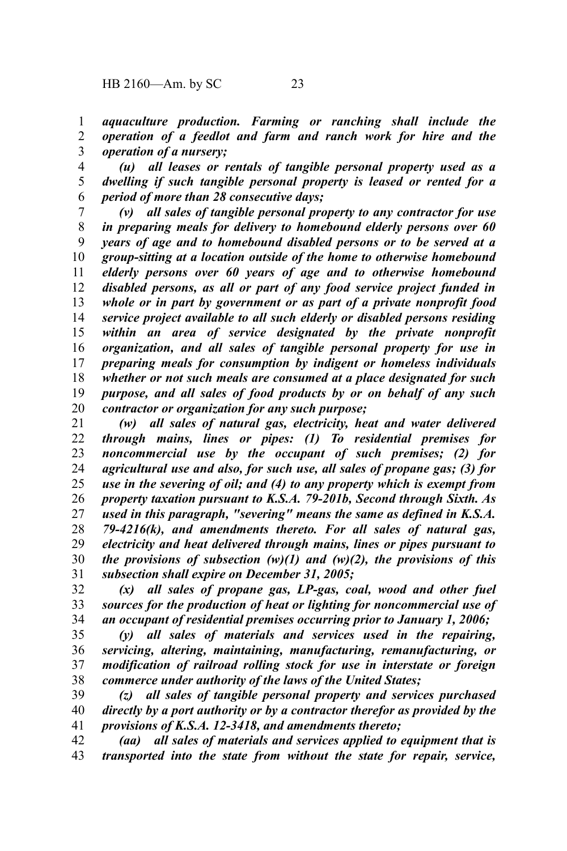*aquaculture production. Farming or ranching shall include the operation of a feedlot and farm and ranch work for hire and the operation of a nursery;* 1 2 3

*(u) all leases or rentals of tangible personal property used as a dwelling if such tangible personal property is leased or rented for a period of more than 28 consecutive days;* 4 5 6

*(v) all sales of tangible personal property to any contractor for use in preparing meals for delivery to homebound elderly persons over 60 years of age and to homebound disabled persons or to be served at a group-sitting at a location outside of the home to otherwise homebound elderly persons over 60 years of age and to otherwise homebound disabled persons, as all or part of any food service project funded in whole or in part by government or as part of a private nonprofit food service project available to all such elderly or disabled persons residing within an area of service designated by the private nonprofit organization, and all sales of tangible personal property for use in preparing meals for consumption by indigent or homeless individuals whether or not such meals are consumed at a place designated for such purpose, and all sales of food products by or on behalf of any such contractor or organization for any such purpose;* 7 8 9 10 11 12 13 14 15 16 17 18 19 20

*(w) all sales of natural gas, electricity, heat and water delivered through mains, lines or pipes: (1) To residential premises for noncommercial use by the occupant of such premises; (2) for agricultural use and also, for such use, all sales of propane gas; (3) for use in the severing of oil; and (4) to any property which is exempt from property taxation pursuant to K.S.A. 79-201b, Second through Sixth. As used in this paragraph, "severing" means the same as defined in K.S.A. 79-4216(k), and amendments thereto. For all sales of natural gas, electricity and heat delivered through mains, lines or pipes pursuant to the provisions of subsection (w)(1) and (w)(2), the provisions of this subsection shall expire on December 31, 2005;* 21 22 23 24 25 26 27 28 29 30 31

*(x) all sales of propane gas, LP-gas, coal, wood and other fuel sources for the production of heat or lighting for noncommercial use of an occupant of residential premises occurring prior to January 1, 2006;* 32 33 34

*(y) all sales of materials and services used in the repairing, servicing, altering, maintaining, manufacturing, remanufacturing, or modification of railroad rolling stock for use in interstate or foreign commerce under authority of the laws of the United States;* 35 36 37 38

*(z) all sales of tangible personal property and services purchased directly by a port authority or by a contractor therefor as provided by the provisions of K.S.A. 12-3418, and amendments thereto;* 39 40 41

*(aa) all sales of materials and services applied to equipment that is transported into the state from without the state for repair, service,* 42 43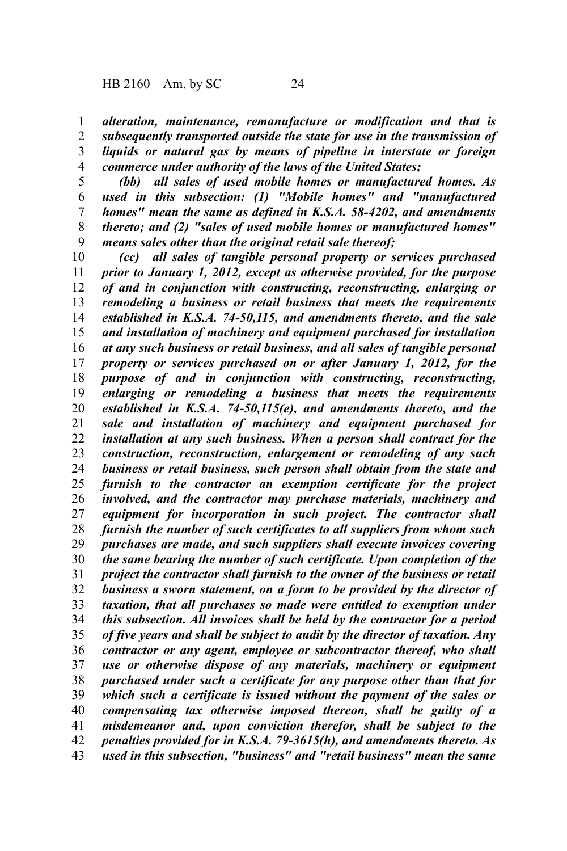*alteration, maintenance, remanufacture or modification and that is subsequently transported outside the state for use in the transmission of liquids or natural gas by means of pipeline in interstate or foreign commerce under authority of the laws of the United States;* 1 2 3 4

*(bb) all sales of used mobile homes or manufactured homes. As used in this subsection: (1) "Mobile homes" and "manufactured homes" mean the same as defined in K.S.A. 58-4202, and amendments thereto; and (2) "sales of used mobile homes or manufactured homes" means sales other than the original retail sale thereof;* 5 6 7 8 9

*(cc) all sales of tangible personal property or services purchased prior to January 1, 2012, except as otherwise provided, for the purpose of and in conjunction with constructing, reconstructing, enlarging or remodeling a business or retail business that meets the requirements established in K.S.A. 74-50,115, and amendments thereto, and the sale and installation of machinery and equipment purchased for installation at any such business or retail business, and all sales of tangible personal property or services purchased on or after January 1, 2012, for the purpose of and in conjunction with constructing, reconstructing, enlarging or remodeling a business that meets the requirements established in K.S.A. 74-50,115(e), and amendments thereto, and the sale and installation of machinery and equipment purchased for installation at any such business. When a person shall contract for the construction, reconstruction, enlargement or remodeling of any such business or retail business, such person shall obtain from the state and furnish to the contractor an exemption certificate for the project involved, and the contractor may purchase materials, machinery and equipment for incorporation in such project. The contractor shall furnish the number of such certificates to all suppliers from whom such purchases are made, and such suppliers shall execute invoices covering the same bearing the number of such certificate. Upon completion of the project the contractor shall furnish to the owner of the business or retail business a sworn statement, on a form to be provided by the director of taxation, that all purchases so made were entitled to exemption under this subsection. All invoices shall be held by the contractor for a period of five years and shall be subject to audit by the director of taxation. Any contractor or any agent, employee or subcontractor thereof, who shall use or otherwise dispose of any materials, machinery or equipment purchased under such a certificate for any purpose other than that for which such a certificate is issued without the payment of the sales or compensating tax otherwise imposed thereon, shall be guilty of a misdemeanor and, upon conviction therefor, shall be subject to the penalties provided for in K.S.A. 79-3615(h), and amendments thereto. As used in this subsection, "business" and "retail business" mean the same* 10 11 12 13 14 15 16 17 18 19 20 21 22 23 24 25 26 27 28 29 30 31 32 33 34 35 36 37 38 39 40 41 42 43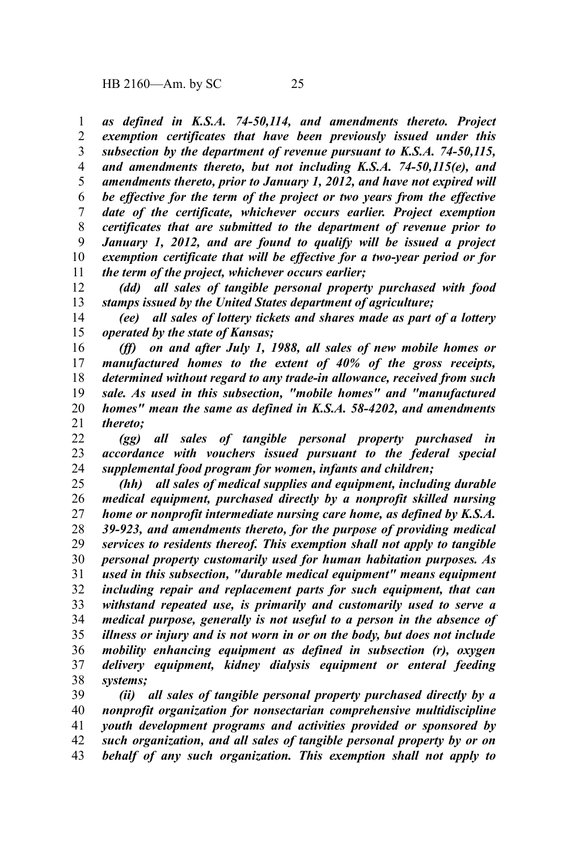*as defined in K.S.A. 74-50,114, and amendments thereto. Project exemption certificates that have been previously issued under this subsection by the department of revenue pursuant to K.S.A. 74-50,115, and amendments thereto, but not including K.S.A. 74-50,115(e), and amendments thereto, prior to January 1, 2012, and have not expired will be effective for the term of the project or two years from the effective date of the certificate, whichever occurs earlier. Project exemption certificates that are submitted to the department of revenue prior to January 1, 2012, and are found to qualify will be issued a project exemption certificate that will be effective for a two-year period or for the term of the project, whichever occurs earlier;* 1 2 3 4 5 6 7 8 9 10 11

*(dd) all sales of tangible personal property purchased with food stamps issued by the United States department of agriculture;* 12 13

*(ee) all sales of lottery tickets and shares made as part of a lottery operated by the state of Kansas;* 14 15

*(ff) on and after July 1, 1988, all sales of new mobile homes or manufactured homes to the extent of 40% of the gross receipts, determined without regard to any trade-in allowance, received from such sale. As used in this subsection, "mobile homes" and "manufactured homes" mean the same as defined in K.S.A. 58-4202, and amendments thereto;* 16 17 18 19 20 21

*(gg) all sales of tangible personal property purchased in accordance with vouchers issued pursuant to the federal special supplemental food program for women, infants and children;* 22 23 24

*(hh) all sales of medical supplies and equipment, including durable medical equipment, purchased directly by a nonprofit skilled nursing home or nonprofit intermediate nursing care home, as defined by K.S.A. 39-923, and amendments thereto, for the purpose of providing medical services to residents thereof. This exemption shall not apply to tangible personal property customarily used for human habitation purposes. As used in this subsection, "durable medical equipment" means equipment including repair and replacement parts for such equipment, that can withstand repeated use, is primarily and customarily used to serve a medical purpose, generally is not useful to a person in the absence of illness or injury and is not worn in or on the body, but does not include mobility enhancing equipment as defined in subsection (r), oxygen delivery equipment, kidney dialysis equipment or enteral feeding systems;* 25 26 27 28 29 30 31 32 33 34 35 36 37 38

*(ii) all sales of tangible personal property purchased directly by a nonprofit organization for nonsectarian comprehensive multidiscipline youth development programs and activities provided or sponsored by such organization, and all sales of tangible personal property by or on behalf of any such organization. This exemption shall not apply to* 39 40 41 42 43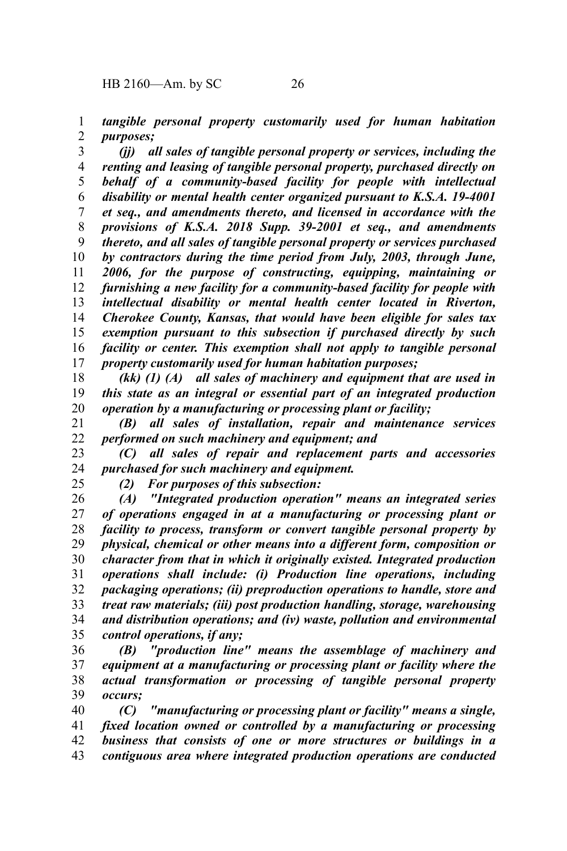*tangible personal property customarily used for human habitation purposes;* 1 2

*(jj) all sales of tangible personal property or services, including the renting and leasing of tangible personal property, purchased directly on behalf of a community-based facility for people with intellectual disability or mental health center organized pursuant to K.S.A. 19-4001 et seq., and amendments thereto, and licensed in accordance with the provisions of K.S.A. 2018 Supp. 39-2001 et seq., and amendments thereto, and all sales of tangible personal property or services purchased by contractors during the time period from July, 2003, through June, 2006, for the purpose of constructing, equipping, maintaining or furnishing a new facility for a community-based facility for people with intellectual disability or mental health center located in Riverton, Cherokee County, Kansas, that would have been eligible for sales tax exemption pursuant to this subsection if purchased directly by such facility or center. This exemption shall not apply to tangible personal property customarily used for human habitation purposes;* 3 4 5 6 7 8 9 10 11 12 13 14 15 16 17

*(kk) (1) (A) all sales of machinery and equipment that are used in this state as an integral or essential part of an integrated production operation by a manufacturing or processing plant or facility;* 18 19 20

*(B) all sales of installation, repair and maintenance services performed on such machinery and equipment; and* 21 22

*(C) all sales of repair and replacement parts and accessories purchased for such machinery and equipment.* 23 24

25

*(2) For purposes of this subsection:*

*(A) "Integrated production operation" means an integrated series of operations engaged in at a manufacturing or processing plant or facility to process, transform or convert tangible personal property by physical, chemical or other means into a different form, composition or character from that in which it originally existed. Integrated production operations shall include: (i) Production line operations, including packaging operations; (ii) preproduction operations to handle, store and treat raw materials; (iii) post production handling, storage, warehousing and distribution operations; and (iv) waste, pollution and environmental control operations, if any;* 26 27 28 29 30 31 32 33 34 35

*(B) "production line" means the assemblage of machinery and equipment at a manufacturing or processing plant or facility where the actual transformation or processing of tangible personal property occurs;* 36 37 38 39

*(C) "manufacturing or processing plant or facility" means a single, fixed location owned or controlled by a manufacturing or processing business that consists of one or more structures or buildings in a contiguous area where integrated production operations are conducted* 40 41 42 43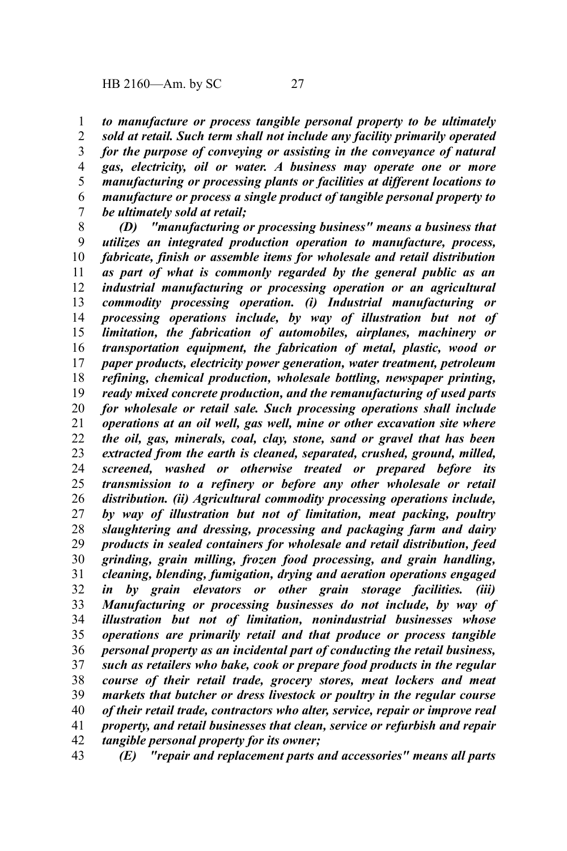*to manufacture or process tangible personal property to be ultimately sold at retail. Such term shall not include any facility primarily operated for the purpose of conveying or assisting in the conveyance of natural gas, electricity, oil or water. A business may operate one or more manufacturing or processing plants or facilities at different locations to manufacture or process a single product of tangible personal property to be ultimately sold at retail;* 1 2 3 4 5 6 7

*(D) "manufacturing or processing business" means a business that utilizes an integrated production operation to manufacture, process, fabricate, finish or assemble items for wholesale and retail distribution as part of what is commonly regarded by the general public as an industrial manufacturing or processing operation or an agricultural commodity processing operation. (i) Industrial manufacturing or processing operations include, by way of illustration but not of limitation, the fabrication of automobiles, airplanes, machinery or transportation equipment, the fabrication of metal, plastic, wood or paper products, electricity power generation, water treatment, petroleum refining, chemical production, wholesale bottling, newspaper printing, ready mixed concrete production, and the remanufacturing of used parts for wholesale or retail sale. Such processing operations shall include operations at an oil well, gas well, mine or other excavation site where the oil, gas, minerals, coal, clay, stone, sand or gravel that has been extracted from the earth is cleaned, separated, crushed, ground, milled, screened, washed or otherwise treated or prepared before its transmission to a refinery or before any other wholesale or retail distribution. (ii) Agricultural commodity processing operations include, by way of illustration but not of limitation, meat packing, poultry slaughtering and dressing, processing and packaging farm and dairy products in sealed containers for wholesale and retail distribution, feed grinding, grain milling, frozen food processing, and grain handling, cleaning, blending, fumigation, drying and aeration operations engaged in by grain elevators or other grain storage facilities. (iii) Manufacturing or processing businesses do not include, by way of illustration but not of limitation, nonindustrial businesses whose operations are primarily retail and that produce or process tangible personal property as an incidental part of conducting the retail business, such as retailers who bake, cook or prepare food products in the regular course of their retail trade, grocery stores, meat lockers and meat markets that butcher or dress livestock or poultry in the regular course of their retail trade, contractors who alter, service, repair or improve real property, and retail businesses that clean, service or refurbish and repair tangible personal property for its owner;* 8 9 10 11 12 13 14 15 16 17 18 19 20 21 22 23 24 25 26 27 28 29 30 31 32 33 34 35 36 37 38 39 40 41 42

*(E) "repair and replacement parts and accessories" means all parts* 43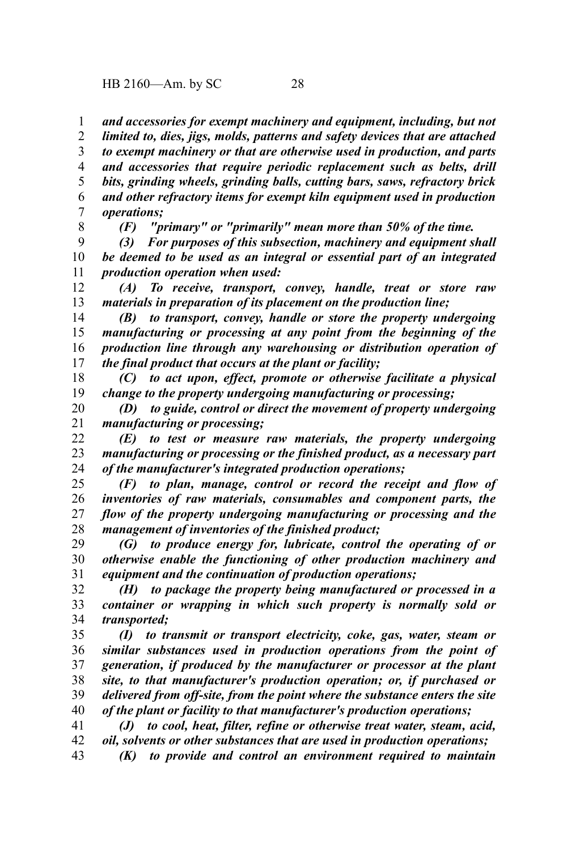*and accessories for exempt machinery and equipment, including, but not limited to, dies, jigs, molds, patterns and safety devices that are attached to exempt machinery or that are otherwise used in production, and parts and accessories that require periodic replacement such as belts, drill bits, grinding wheels, grinding balls, cutting bars, saws, refractory brick and other refractory items for exempt kiln equipment used in production operations;* 1 2 3 4 5 6 7

8

*(F) "primary" or "primarily" mean more than 50% of the time.*

*(3) For purposes of this subsection, machinery and equipment shall be deemed to be used as an integral or essential part of an integrated production operation when used:* 9 10 11

*(A) To receive, transport, convey, handle, treat or store raw materials in preparation of its placement on the production line;* 12 13

*(B) to transport, convey, handle or store the property undergoing manufacturing or processing at any point from the beginning of the production line through any warehousing or distribution operation of the final product that occurs at the plant or facility;* 14 15 16 17

*(C) to act upon, effect, promote or otherwise facilitate a physical change to the property undergoing manufacturing or processing;* 18 19

*(D) to guide, control or direct the movement of property undergoing manufacturing or processing;* 20 21

*(E) to test or measure raw materials, the property undergoing manufacturing or processing or the finished product, as a necessary part of the manufacturer's integrated production operations;* 22 23 24

*(F) to plan, manage, control or record the receipt and flow of inventories of raw materials, consumables and component parts, the flow of the property undergoing manufacturing or processing and the management of inventories of the finished product;* 25 26 27 28

*(G) to produce energy for, lubricate, control the operating of or otherwise enable the functioning of other production machinery and equipment and the continuation of production operations;* 29 30 31

*(H) to package the property being manufactured or processed in a container or wrapping in which such property is normally sold or transported;* 32 33 34

*(I) to transmit or transport electricity, coke, gas, water, steam or similar substances used in production operations from the point of generation, if produced by the manufacturer or processor at the plant site, to that manufacturer's production operation; or, if purchased or delivered from off-site, from the point where the substance enters the site of the plant or facility to that manufacturer's production operations;* 35 36 37 38 39 40

*(J) to cool, heat, filter, refine or otherwise treat water, steam, acid, oil, solvents or other substances that are used in production operations;* 41 42

*(K) to provide and control an environment required to maintain* 43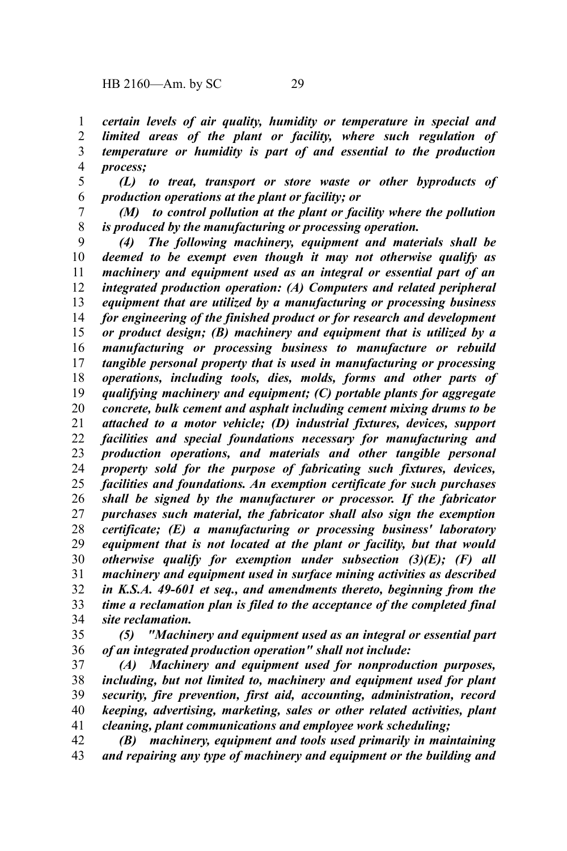*certain levels of air quality, humidity or temperature in special and limited areas of the plant or facility, where such regulation of temperature or humidity is part of and essential to the production process;* 1 2 3 4

*(L) to treat, transport or store waste or other byproducts of production operations at the plant or facility; or* 5 6

*(M) to control pollution at the plant or facility where the pollution is produced by the manufacturing or processing operation.* 7 8

*(4) The following machinery, equipment and materials shall be deemed to be exempt even though it may not otherwise qualify as machinery and equipment used as an integral or essential part of an integrated production operation: (A) Computers and related peripheral equipment that are utilized by a manufacturing or processing business for engineering of the finished product or for research and development or product design; (B) machinery and equipment that is utilized by a manufacturing or processing business to manufacture or rebuild tangible personal property that is used in manufacturing or processing operations, including tools, dies, molds, forms and other parts of qualifying machinery and equipment; (C) portable plants for aggregate concrete, bulk cement and asphalt including cement mixing drums to be attached to a motor vehicle; (D) industrial fixtures, devices, support facilities and special foundations necessary for manufacturing and production operations, and materials and other tangible personal property sold for the purpose of fabricating such fixtures, devices, facilities and foundations. An exemption certificate for such purchases shall be signed by the manufacturer or processor. If the fabricator purchases such material, the fabricator shall also sign the exemption certificate; (E) a manufacturing or processing business' laboratory equipment that is not located at the plant or facility, but that would otherwise qualify for exemption under subsection (3)(E); (F) all machinery and equipment used in surface mining activities as described in K.S.A. 49-601 et seq., and amendments thereto, beginning from the time a reclamation plan is filed to the acceptance of the completed final site reclamation.* 9 10 11 12 13 14 15 16 17 18 19 20 21 22 23 24 25 26 27 28 29 30 31 32 33 34

*(5) "Machinery and equipment used as an integral or essential part of an integrated production operation" shall not include:* 35 36

*(A) Machinery and equipment used for nonproduction purposes, including, but not limited to, machinery and equipment used for plant security, fire prevention, first aid, accounting, administration, record keeping, advertising, marketing, sales or other related activities, plant cleaning, plant communications and employee work scheduling;* 37 38 39 40 41

*(B) machinery, equipment and tools used primarily in maintaining and repairing any type of machinery and equipment or the building and* 42 43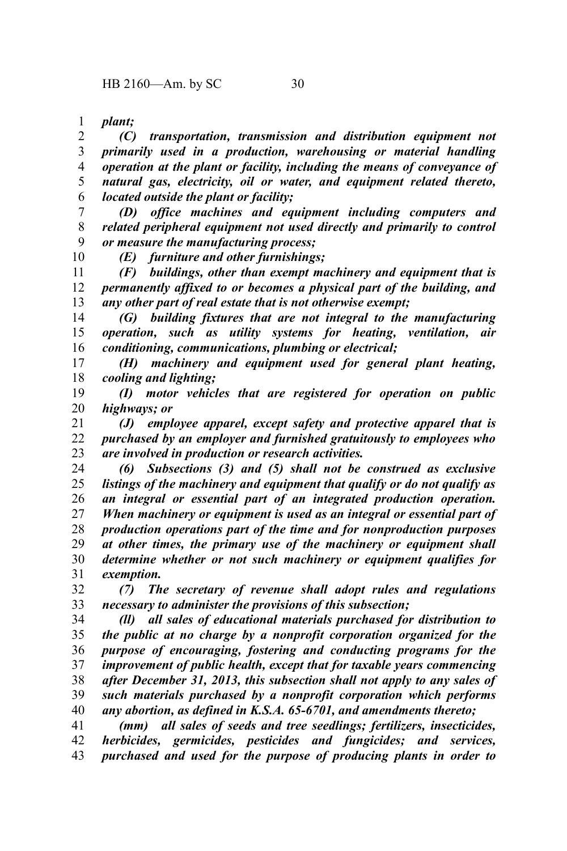*plant;* 1

*(C) transportation, transmission and distribution equipment not primarily used in a production, warehousing or material handling operation at the plant or facility, including the means of conveyance of natural gas, electricity, oil or water, and equipment related thereto, located outside the plant or facility;* 2 3 4 5 6

*(D) office machines and equipment including computers and related peripheral equipment not used directly and primarily to control or measure the manufacturing process;* 7 8 9 10

*(E) furniture and other furnishings;*

*(F) buildings, other than exempt machinery and equipment that is permanently affixed to or becomes a physical part of the building, and any other part of real estate that is not otherwise exempt;* 11 12 13

*(G) building fixtures that are not integral to the manufacturing operation, such as utility systems for heating, ventilation, air conditioning, communications, plumbing or electrical;* 14 15 16

*(H) machinery and equipment used for general plant heating, cooling and lighting;* 17 18

*(I) motor vehicles that are registered for operation on public highways; or* 19 20

*(J) employee apparel, except safety and protective apparel that is purchased by an employer and furnished gratuitously to employees who are involved in production or research activities.* 21 22 23

*(6) Subsections (3) and (5) shall not be construed as exclusive listings of the machinery and equipment that qualify or do not qualify as an integral or essential part of an integrated production operation. When machinery or equipment is used as an integral or essential part of production operations part of the time and for nonproduction purposes at other times, the primary use of the machinery or equipment shall determine whether or not such machinery or equipment qualifies for exemption.* 24 25 26 27 28 29 30 31

*(7) The secretary of revenue shall adopt rules and regulations necessary to administer the provisions of this subsection;* 32 33

*(ll) all sales of educational materials purchased for distribution to the public at no charge by a nonprofit corporation organized for the purpose of encouraging, fostering and conducting programs for the improvement of public health, except that for taxable years commencing after December 31, 2013, this subsection shall not apply to any sales of such materials purchased by a nonprofit corporation which performs any abortion, as defined in K.S.A. 65-6701, and amendments thereto;* 34 35 36 37 38 39 40

*(mm) all sales of seeds and tree seedlings; fertilizers, insecticides, herbicides, germicides, pesticides and fungicides; and services, purchased and used for the purpose of producing plants in order to* 41 42 43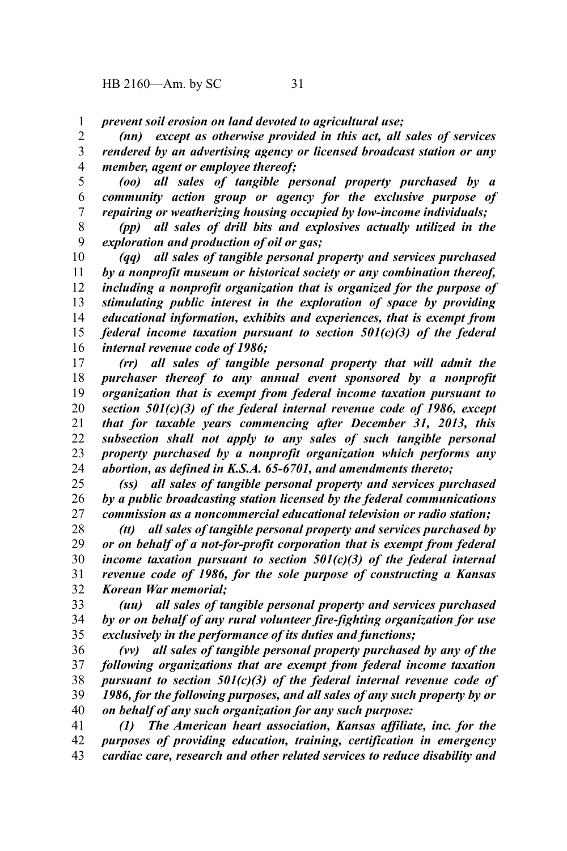*prevent soil erosion on land devoted to agricultural use;* 1

*(nn) except as otherwise provided in this act, all sales of services rendered by an advertising agency or licensed broadcast station or any member, agent or employee thereof;* 2 3 4

*(oo) all sales of tangible personal property purchased by a community action group or agency for the exclusive purpose of repairing or weatherizing housing occupied by low-income individuals;* 5 6 7

*(pp) all sales of drill bits and explosives actually utilized in the exploration and production of oil or gas;* 8 9

*(qq) all sales of tangible personal property and services purchased by a nonprofit museum or historical society or any combination thereof, including a nonprofit organization that is organized for the purpose of stimulating public interest in the exploration of space by providing educational information, exhibits and experiences, that is exempt from federal income taxation pursuant to section 501(c)(3) of the federal internal revenue code of 1986;* 10 11 12 13 14 15 16

*(rr) all sales of tangible personal property that will admit the purchaser thereof to any annual event sponsored by a nonprofit organization that is exempt from federal income taxation pursuant to section 501(c)(3) of the federal internal revenue code of 1986, except that for taxable years commencing after December 31, 2013, this subsection shall not apply to any sales of such tangible personal property purchased by a nonprofit organization which performs any abortion, as defined in K.S.A. 65-6701, and amendments thereto;* 17 18 19 20 21 22 23 24

*(ss) all sales of tangible personal property and services purchased by a public broadcasting station licensed by the federal communications commission as a noncommercial educational television or radio station;* 25 26 27

*(tt) all sales of tangible personal property and services purchased by or on behalf of a not-for-profit corporation that is exempt from federal income taxation pursuant to section 501(c)(3) of the federal internal revenue code of 1986, for the sole purpose of constructing a Kansas Korean War memorial;* 28 29 30 31 32

*(uu) all sales of tangible personal property and services purchased by or on behalf of any rural volunteer fire-fighting organization for use exclusively in the performance of its duties and functions;* 33 34 35

*(vv) all sales of tangible personal property purchased by any of the following organizations that are exempt from federal income taxation pursuant to section 501(c)(3) of the federal internal revenue code of 1986, for the following purposes, and all sales of any such property by or on behalf of any such organization for any such purpose:* 36 37 38 39 40

*(1) The American heart association, Kansas affiliate, inc. for the purposes of providing education, training, certification in emergency cardiac care, research and other related services to reduce disability and* 41 42 43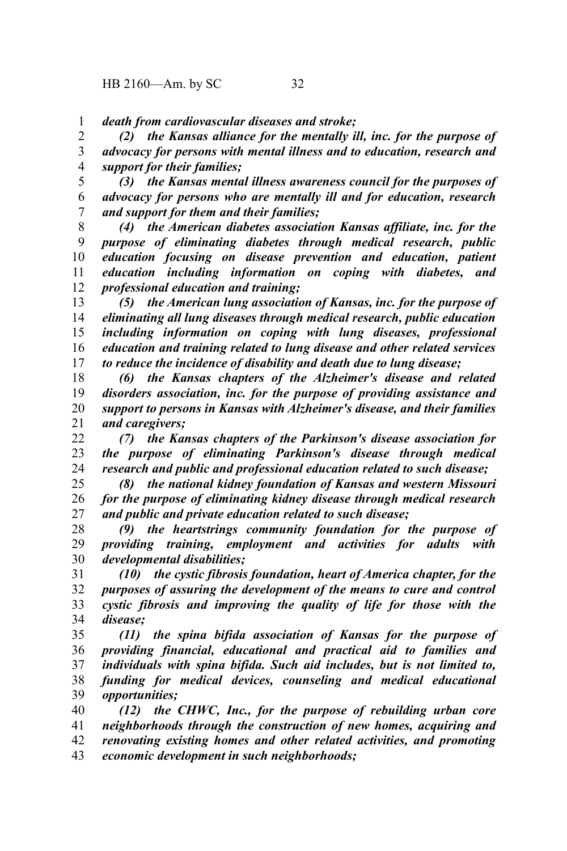*death from cardiovascular diseases and stroke;* 1

*(2) the Kansas alliance for the mentally ill, inc. for the purpose of advocacy for persons with mental illness and to education, research and support for their families;* 2 3 4

*(3) the Kansas mental illness awareness council for the purposes of advocacy for persons who are mentally ill and for education, research and support for them and their families;* 5 6 7

*(4) the American diabetes association Kansas affiliate, inc. for the purpose of eliminating diabetes through medical research, public education focusing on disease prevention and education, patient education including information on coping with diabetes, and professional education and training;* 8 9 10 11 12

*(5) the American lung association of Kansas, inc. for the purpose of eliminating all lung diseases through medical research, public education including information on coping with lung diseases, professional education and training related to lung disease and other related services to reduce the incidence of disability and death due to lung disease;* 13 14 15 16 17

*(6) the Kansas chapters of the Alzheimer's disease and related disorders association, inc. for the purpose of providing assistance and support to persons in Kansas with Alzheimer's disease, and their families and caregivers;* 18 19 20 21

*(7) the Kansas chapters of the Parkinson's disease association for the purpose of eliminating Parkinson's disease through medical research and public and professional education related to such disease;* 22 23 24

*(8) the national kidney foundation of Kansas and western Missouri for the purpose of eliminating kidney disease through medical research and public and private education related to such disease;* 25 26 27

*(9) the heartstrings community foundation for the purpose of providing training, employment and activities for adults with developmental disabilities;* 28 29 30

*(10) the cystic fibrosis foundation, heart of America chapter, for the purposes of assuring the development of the means to cure and control cystic fibrosis and improving the quality of life for those with the disease;* 31 32 33 34

*(11) the spina bifida association of Kansas for the purpose of providing financial, educational and practical aid to families and individuals with spina bifida. Such aid includes, but is not limited to, funding for medical devices, counseling and medical educational opportunities;* 35 36 37 38 39

*(12) the CHWC, Inc., for the purpose of rebuilding urban core neighborhoods through the construction of new homes, acquiring and renovating existing homes and other related activities, and promoting economic development in such neighborhoods;* 40 41 42 43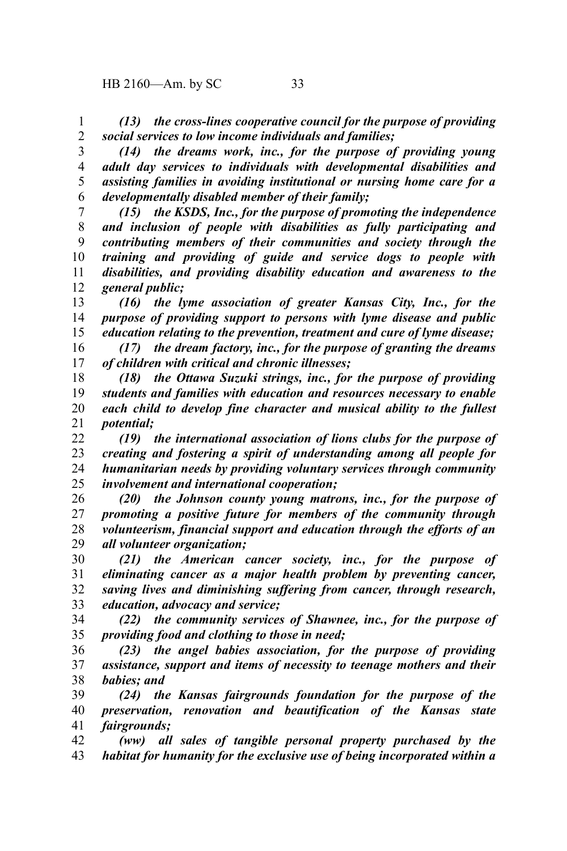*(13) the cross-lines cooperative council for the purpose of providing social services to low income individuals and families;* 1 2

*(14) the dreams work, inc., for the purpose of providing young adult day services to individuals with developmental disabilities and assisting families in avoiding institutional or nursing home care for a developmentally disabled member of their family;* 3 4 5 6

*(15) the KSDS, Inc., for the purpose of promoting the independence and inclusion of people with disabilities as fully participating and contributing members of their communities and society through the training and providing of guide and service dogs to people with disabilities, and providing disability education and awareness to the general public;* 7 8 9 10 11 12

*(16) the lyme association of greater Kansas City, Inc., for the purpose of providing support to persons with lyme disease and public education relating to the prevention, treatment and cure of lyme disease;* 13 14 15

*(17) the dream factory, inc., for the purpose of granting the dreams of children with critical and chronic illnesses;* 16 17

*(18) the Ottawa Suzuki strings, inc., for the purpose of providing students and families with education and resources necessary to enable each child to develop fine character and musical ability to the fullest potential;* 18 19 20 21

*(19) the international association of lions clubs for the purpose of creating and fostering a spirit of understanding among all people for humanitarian needs by providing voluntary services through community involvement and international cooperation;* 22 23 24 25

*(20) the Johnson county young matrons, inc., for the purpose of promoting a positive future for members of the community through volunteerism, financial support and education through the efforts of an all volunteer organization;* 26 27 28 29

*(21) the American cancer society, inc., for the purpose of eliminating cancer as a major health problem by preventing cancer, saving lives and diminishing suffering from cancer, through research, education, advocacy and service;* 30 31 32 33

*(22) the community services of Shawnee, inc., for the purpose of providing food and clothing to those in need;* 34 35

*(23) the angel babies association, for the purpose of providing assistance, support and items of necessity to teenage mothers and their babies; and* 36 37 38

*(24) the Kansas fairgrounds foundation for the purpose of the preservation, renovation and beautification of the Kansas state fairgrounds;* 39 40 41

*(ww) all sales of tangible personal property purchased by the habitat for humanity for the exclusive use of being incorporated within a* 42 43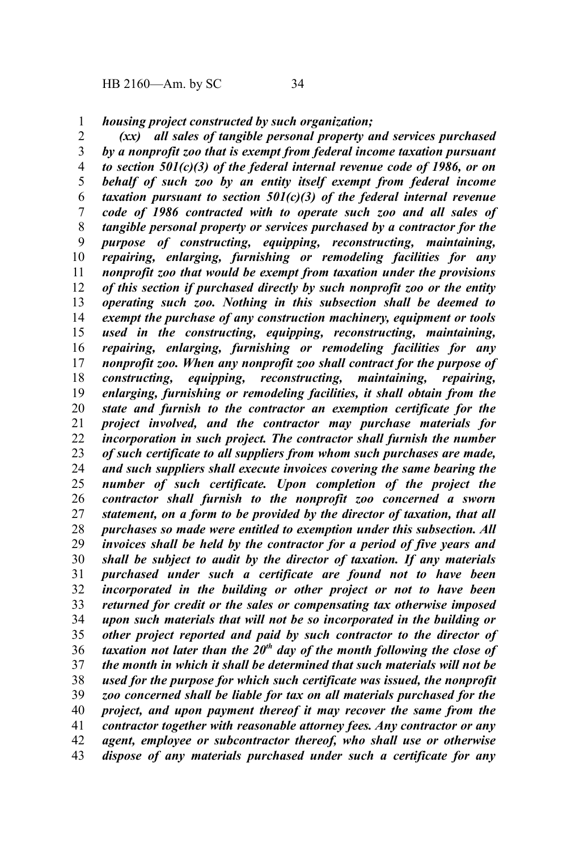*housing project constructed by such organization;* 1

*(xx) all sales of tangible personal property and services purchased by a nonprofit zoo that is exempt from federal income taxation pursuant to section 501(c)(3) of the federal internal revenue code of 1986, or on behalf of such zoo by an entity itself exempt from federal income taxation pursuant to section 501(c)(3) of the federal internal revenue code of 1986 contracted with to operate such zoo and all sales of tangible personal property or services purchased by a contractor for the purpose of constructing, equipping, reconstructing, maintaining, repairing, enlarging, furnishing or remodeling facilities for any nonprofit zoo that would be exempt from taxation under the provisions of this section if purchased directly by such nonprofit zoo or the entity operating such zoo. Nothing in this subsection shall be deemed to exempt the purchase of any construction machinery, equipment or tools used in the constructing, equipping, reconstructing, maintaining, repairing, enlarging, furnishing or remodeling facilities for any nonprofit zoo. When any nonprofit zoo shall contract for the purpose of constructing, equipping, reconstructing, maintaining, repairing, enlarging, furnishing or remodeling facilities, it shall obtain from the state and furnish to the contractor an exemption certificate for the project involved, and the contractor may purchase materials for incorporation in such project. The contractor shall furnish the number of such certificate to all suppliers from whom such purchases are made, and such suppliers shall execute invoices covering the same bearing the number of such certificate. Upon completion of the project the contractor shall furnish to the nonprofit zoo concerned a sworn statement, on a form to be provided by the director of taxation, that all purchases so made were entitled to exemption under this subsection. All invoices shall be held by the contractor for a period of five years and shall be subject to audit by the director of taxation. If any materials purchased under such a certificate are found not to have been incorporated in the building or other project or not to have been returned for credit or the sales or compensating tax otherwise imposed upon such materials that will not be so incorporated in the building or other project reported and paid by such contractor to the director of taxation not later than the 20th day of the month following the close of the month in which it shall be determined that such materials will not be used for the purpose for which such certificate was issued, the nonprofit zoo concerned shall be liable for tax on all materials purchased for the project, and upon payment thereof it may recover the same from the contractor together with reasonable attorney fees. Any contractor or any agent, employee or subcontractor thereof, who shall use or otherwise dispose of any materials purchased under such a certificate for any* 2 3 4 5 6 7 8 9 10 11 12 13 14 15 16 17 18 19 20 21 22 23 24 25 26 27 28 29 30 31 32 33 34 35 36 37 38 39 40 41 42 43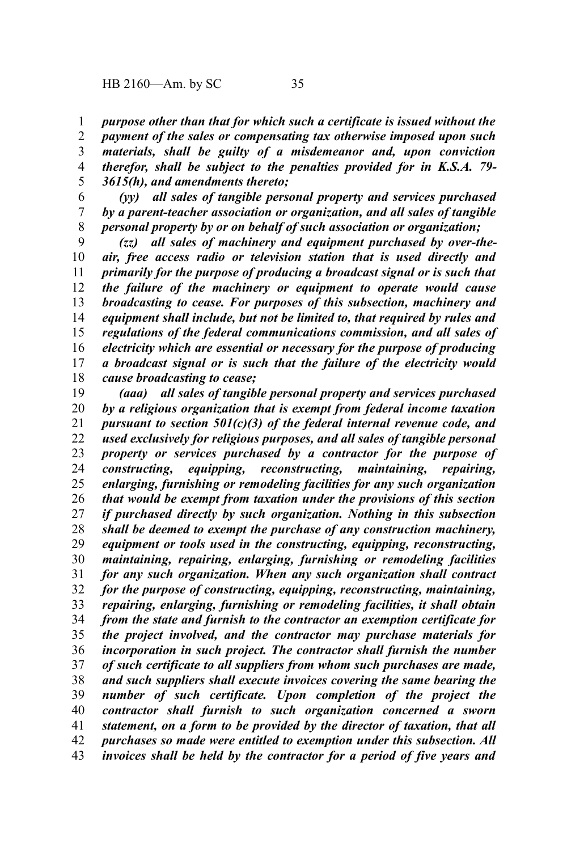*purpose other than that for which such a certificate is issued without the* 1

*payment of the sales or compensating tax otherwise imposed upon such materials, shall be guilty of a misdemeanor and, upon conviction therefor, shall be subject to the penalties provided for in K.S.A. 79- 3615(h), and amendments thereto;* 2 3 4 5

*(yy) all sales of tangible personal property and services purchased by a parent-teacher association or organization, and all sales of tangible personal property by or on behalf of such association or organization;* 6 7 8

*(zz) all sales of machinery and equipment purchased by over-theair, free access radio or television station that is used directly and primarily for the purpose of producing a broadcast signal or is such that the failure of the machinery or equipment to operate would cause broadcasting to cease. For purposes of this subsection, machinery and equipment shall include, but not be limited to, that required by rules and regulations of the federal communications commission, and all sales of electricity which are essential or necessary for the purpose of producing a broadcast signal or is such that the failure of the electricity would cause broadcasting to cease;* 9 10 11 12 13 14 15 16 17 18

*(aaa) all sales of tangible personal property and services purchased by a religious organization that is exempt from federal income taxation pursuant to section 501(c)(3) of the federal internal revenue code, and used exclusively for religious purposes, and all sales of tangible personal property or services purchased by a contractor for the purpose of constructing, equipping, reconstructing, maintaining, repairing, enlarging, furnishing or remodeling facilities for any such organization that would be exempt from taxation under the provisions of this section if purchased directly by such organization. Nothing in this subsection shall be deemed to exempt the purchase of any construction machinery, equipment or tools used in the constructing, equipping, reconstructing, maintaining, repairing, enlarging, furnishing or remodeling facilities for any such organization. When any such organization shall contract for the purpose of constructing, equipping, reconstructing, maintaining, repairing, enlarging, furnishing or remodeling facilities, it shall obtain from the state and furnish to the contractor an exemption certificate for the project involved, and the contractor may purchase materials for incorporation in such project. The contractor shall furnish the number of such certificate to all suppliers from whom such purchases are made, and such suppliers shall execute invoices covering the same bearing the number of such certificate. Upon completion of the project the contractor shall furnish to such organization concerned a sworn statement, on a form to be provided by the director of taxation, that all purchases so made were entitled to exemption under this subsection. All invoices shall be held by the contractor for a period of five years and* 19 20 21 22 23 24 25 26 27 28 29 30 31 32 33 34 35 36 37 38 39 40 41 42 43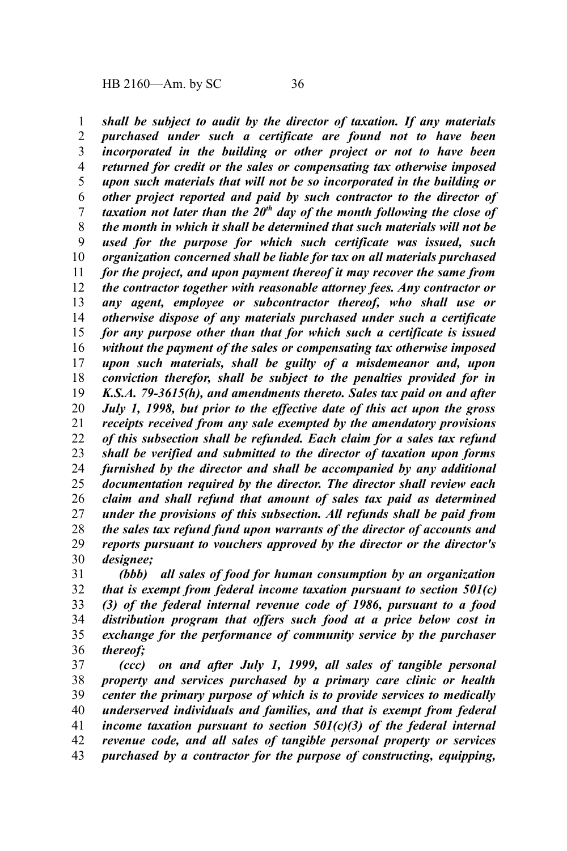*shall be subject to audit by the director of taxation. If any materials purchased under such a certificate are found not to have been incorporated in the building or other project or not to have been returned for credit or the sales or compensating tax otherwise imposed upon such materials that will not be so incorporated in the building or other project reported and paid by such contractor to the director of taxation not later than the 20th day of the month following the close of the month in which it shall be determined that such materials will not be used for the purpose for which such certificate was issued, such organization concerned shall be liable for tax on all materials purchased for the project, and upon payment thereof it may recover the same from the contractor together with reasonable attorney fees. Any contractor or any agent, employee or subcontractor thereof, who shall use or otherwise dispose of any materials purchased under such a certificate for any purpose other than that for which such a certificate is issued without the payment of the sales or compensating tax otherwise imposed upon such materials, shall be guilty of a misdemeanor and, upon conviction therefor, shall be subject to the penalties provided for in K.S.A. 79-3615(h), and amendments thereto. Sales tax paid on and after July 1, 1998, but prior to the effective date of this act upon the gross receipts received from any sale exempted by the amendatory provisions of this subsection shall be refunded. Each claim for a sales tax refund shall be verified and submitted to the director of taxation upon forms furnished by the director and shall be accompanied by any additional documentation required by the director. The director shall review each claim and shall refund that amount of sales tax paid as determined under the provisions of this subsection. All refunds shall be paid from the sales tax refund fund upon warrants of the director of accounts and reports pursuant to vouchers approved by the director or the director's designee;* 1 2 3 4 5 6 7 8 9 10 11 12 13 14 15 16 17 18 19 20 21 22 23 24 25 26 27 28 29 30

*(bbb) all sales of food for human consumption by an organization that is exempt from federal income taxation pursuant to section 501(c) (3) of the federal internal revenue code of 1986, pursuant to a food distribution program that offers such food at a price below cost in exchange for the performance of community service by the purchaser thereof;* 31 32 33 34 35 36

*(ccc) on and after July 1, 1999, all sales of tangible personal property and services purchased by a primary care clinic or health center the primary purpose of which is to provide services to medically underserved individuals and families, and that is exempt from federal income taxation pursuant to section 501(c)(3) of the federal internal revenue code, and all sales of tangible personal property or services purchased by a contractor for the purpose of constructing, equipping,* 37 38 39 40 41 42 43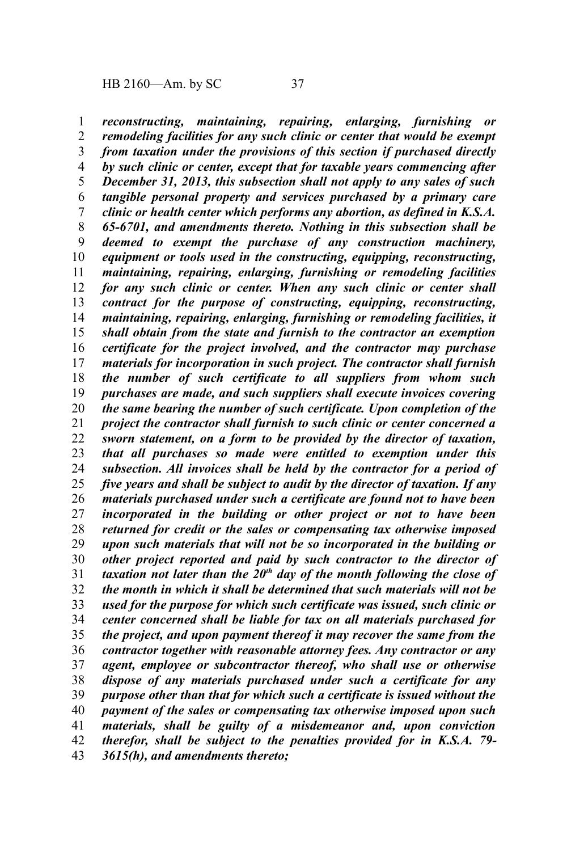*reconstructing, maintaining, repairing, enlarging, furnishing or remodeling facilities for any such clinic or center that would be exempt from taxation under the provisions of this section if purchased directly by such clinic or center, except that for taxable years commencing after December 31, 2013, this subsection shall not apply to any sales of such tangible personal property and services purchased by a primary care clinic or health center which performs any abortion, as defined in K.S.A. 65-6701, and amendments thereto. Nothing in this subsection shall be deemed to exempt the purchase of any construction machinery, equipment or tools used in the constructing, equipping, reconstructing, maintaining, repairing, enlarging, furnishing or remodeling facilities for any such clinic or center. When any such clinic or center shall contract for the purpose of constructing, equipping, reconstructing, maintaining, repairing, enlarging, furnishing or remodeling facilities, it shall obtain from the state and furnish to the contractor an exemption certificate for the project involved, and the contractor may purchase materials for incorporation in such project. The contractor shall furnish the number of such certificate to all suppliers from whom such purchases are made, and such suppliers shall execute invoices covering the same bearing the number of such certificate. Upon completion of the project the contractor shall furnish to such clinic or center concerned a sworn statement, on a form to be provided by the director of taxation, that all purchases so made were entitled to exemption under this subsection. All invoices shall be held by the contractor for a period of five years and shall be subject to audit by the director of taxation. If any materials purchased under such a certificate are found not to have been incorporated in the building or other project or not to have been returned for credit or the sales or compensating tax otherwise imposed upon such materials that will not be so incorporated in the building or other project reported and paid by such contractor to the director of taxation not later than the 20th day of the month following the close of the month in which it shall be determined that such materials will not be used for the purpose for which such certificate was issued, such clinic or center concerned shall be liable for tax on all materials purchased for the project, and upon payment thereof it may recover the same from the contractor together with reasonable attorney fees. Any contractor or any agent, employee or subcontractor thereof, who shall use or otherwise dispose of any materials purchased under such a certificate for any purpose other than that for which such a certificate is issued without the payment of the sales or compensating tax otherwise imposed upon such materials, shall be guilty of a misdemeanor and, upon conviction therefor, shall be subject to the penalties provided for in K.S.A. 79- 3615(h), and amendments thereto;* 1 2 3 4 5 6 7 8 9 10 11 12 13 14 15 16 17 18 19 20 21 22 23 24 25 26 27 28 29 30 31 32 33 34 35 36 37 38 39 40 41 42 43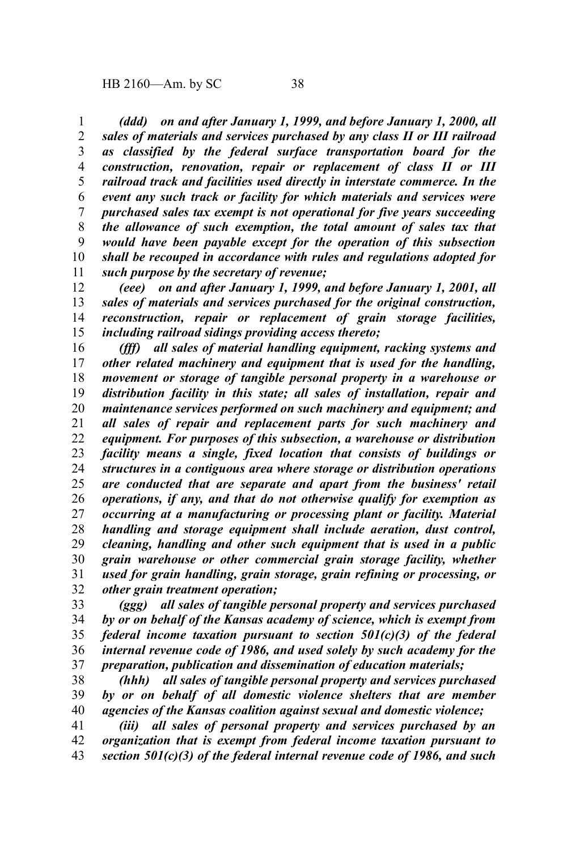*(ddd) on and after January 1, 1999, and before January 1, 2000, all sales of materials and services purchased by any class II or III railroad as classified by the federal surface transportation board for the construction, renovation, repair or replacement of class II or III railroad track and facilities used directly in interstate commerce. In the event any such track or facility for which materials and services were purchased sales tax exempt is not operational for five years succeeding the allowance of such exemption, the total amount of sales tax that would have been payable except for the operation of this subsection shall be recouped in accordance with rules and regulations adopted for such purpose by the secretary of revenue;* 1 2 3 4 5 6 7 8 9 10 11

*(eee) on and after January 1, 1999, and before January 1, 2001, all sales of materials and services purchased for the original construction, reconstruction, repair or replacement of grain storage facilities, including railroad sidings providing access thereto;* 12 13 14 15

*(fff) all sales of material handling equipment, racking systems and other related machinery and equipment that is used for the handling, movement or storage of tangible personal property in a warehouse or distribution facility in this state; all sales of installation, repair and maintenance services performed on such machinery and equipment; and all sales of repair and replacement parts for such machinery and equipment. For purposes of this subsection, a warehouse or distribution facility means a single, fixed location that consists of buildings or structures in a contiguous area where storage or distribution operations are conducted that are separate and apart from the business' retail operations, if any, and that do not otherwise qualify for exemption as occurring at a manufacturing or processing plant or facility. Material handling and storage equipment shall include aeration, dust control, cleaning, handling and other such equipment that is used in a public grain warehouse or other commercial grain storage facility, whether used for grain handling, grain storage, grain refining or processing, or other grain treatment operation;* 16 17 18 19 20 21 22 23 24 25 26 27 28 29 30 31 32

*(ggg) all sales of tangible personal property and services purchased by or on behalf of the Kansas academy of science, which is exempt from federal income taxation pursuant to section 501(c)(3) of the federal internal revenue code of 1986, and used solely by such academy for the preparation, publication and dissemination of education materials;* 33 34 35 36 37

*(hhh) all sales of tangible personal property and services purchased by or on behalf of all domestic violence shelters that are member agencies of the Kansas coalition against sexual and domestic violence;* 38 39 40

*(iii) all sales of personal property and services purchased by an organization that is exempt from federal income taxation pursuant to section 501(c)(3) of the federal internal revenue code of 1986, and such* 41 42 43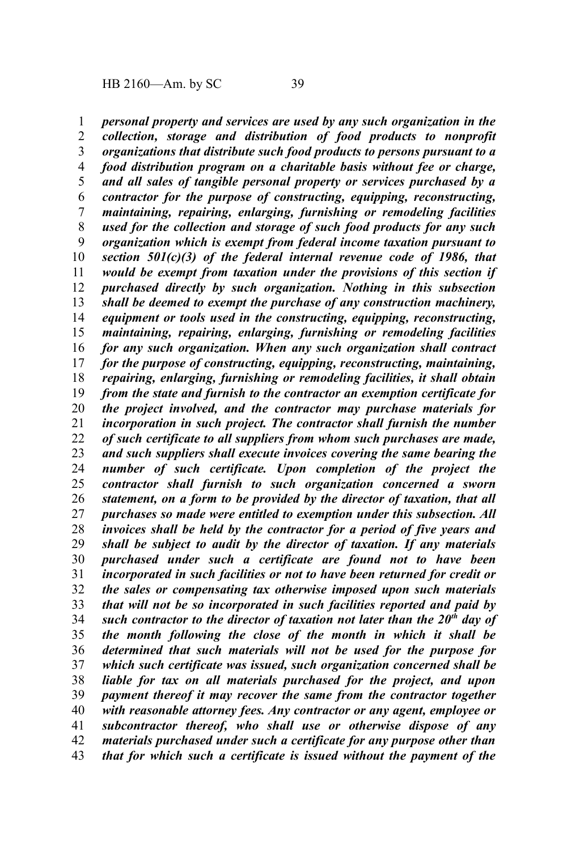*personal property and services are used by any such organization in the collection, storage and distribution of food products to nonprofit organizations that distribute such food products to persons pursuant to a food distribution program on a charitable basis without fee or charge, and all sales of tangible personal property or services purchased by a contractor for the purpose of constructing, equipping, reconstructing, maintaining, repairing, enlarging, furnishing or remodeling facilities used for the collection and storage of such food products for any such organization which is exempt from federal income taxation pursuant to section 501(c)(3) of the federal internal revenue code of 1986, that would be exempt from taxation under the provisions of this section if purchased directly by such organization. Nothing in this subsection shall be deemed to exempt the purchase of any construction machinery, equipment or tools used in the constructing, equipping, reconstructing, maintaining, repairing, enlarging, furnishing or remodeling facilities for any such organization. When any such organization shall contract for the purpose of constructing, equipping, reconstructing, maintaining, repairing, enlarging, furnishing or remodeling facilities, it shall obtain from the state and furnish to the contractor an exemption certificate for the project involved, and the contractor may purchase materials for incorporation in such project. The contractor shall furnish the number of such certificate to all suppliers from whom such purchases are made, and such suppliers shall execute invoices covering the same bearing the number of such certificate. Upon completion of the project the contractor shall furnish to such organization concerned a sworn statement, on a form to be provided by the director of taxation, that all purchases so made were entitled to exemption under this subsection. All invoices shall be held by the contractor for a period of five years and shall be subject to audit by the director of taxation. If any materials purchased under such a certificate are found not to have been incorporated in such facilities or not to have been returned for credit or the sales or compensating tax otherwise imposed upon such materials that will not be so incorporated in such facilities reported and paid by such contractor to the director of taxation not later than the 20th day of the month following the close of the month in which it shall be determined that such materials will not be used for the purpose for which such certificate was issued, such organization concerned shall be liable for tax on all materials purchased for the project, and upon payment thereof it may recover the same from the contractor together with reasonable attorney fees. Any contractor or any agent, employee or subcontractor thereof, who shall use or otherwise dispose of any materials purchased under such a certificate for any purpose other than that for which such a certificate is issued without the payment of the* 1 2 3 4 5 6 7 8 9 10 11 12 13 14 15 16 17 18 19 20 21 22 23 24 25 26 27 28 29 30 31 32 33 34 35 36 37 38 39 40 41 42 43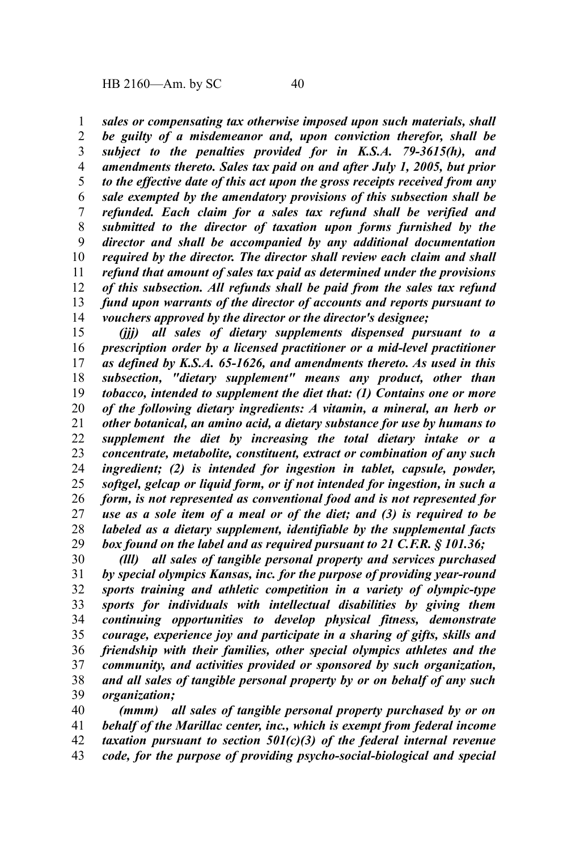*sales or compensating tax otherwise imposed upon such materials, shall be guilty of a misdemeanor and, upon conviction therefor, shall be subject to the penalties provided for in K.S.A. 79-3615(h), and amendments thereto. Sales tax paid on and after July 1, 2005, but prior to the effective date of this act upon the gross receipts received from any sale exempted by the amendatory provisions of this subsection shall be refunded. Each claim for a sales tax refund shall be verified and submitted to the director of taxation upon forms furnished by the director and shall be accompanied by any additional documentation required by the director. The director shall review each claim and shall refund that amount of sales tax paid as determined under the provisions of this subsection. All refunds shall be paid from the sales tax refund fund upon warrants of the director of accounts and reports pursuant to vouchers approved by the director or the director's designee;* 1 2 3 4 5 6 7 8 9 10 11 12 13 14

*(jjj) all sales of dietary supplements dispensed pursuant to a prescription order by a licensed practitioner or a mid-level practitioner as defined by K.S.A. 65-1626, and amendments thereto. As used in this subsection, "dietary supplement" means any product, other than tobacco, intended to supplement the diet that: (1) Contains one or more of the following dietary ingredients: A vitamin, a mineral, an herb or other botanical, an amino acid, a dietary substance for use by humans to supplement the diet by increasing the total dietary intake or a concentrate, metabolite, constituent, extract or combination of any such ingredient; (2) is intended for ingestion in tablet, capsule, powder, softgel, gelcap or liquid form, or if not intended for ingestion, in such a form, is not represented as conventional food and is not represented for use as a sole item of a meal or of the diet; and (3) is required to be labeled as a dietary supplement, identifiable by the supplemental facts box found on the label and as required pursuant to 21 C.F.R. § 101.36;* 15 16 17 18 19 20 21 22 23 24 25 26 27 28 29

*(lll) all sales of tangible personal property and services purchased by special olympics Kansas, inc. for the purpose of providing year-round sports training and athletic competition in a variety of olympic-type sports for individuals with intellectual disabilities by giving them continuing opportunities to develop physical fitness, demonstrate courage, experience joy and participate in a sharing of gifts, skills and friendship with their families, other special olympics athletes and the community, and activities provided or sponsored by such organization, and all sales of tangible personal property by or on behalf of any such organization;* 30 31 32 33 34 35 36 37 38 39

*(mmm) all sales of tangible personal property purchased by or on behalf of the Marillac center, inc., which is exempt from federal income taxation pursuant to section 501(c)(3) of the federal internal revenue code, for the purpose of providing psycho-social-biological and special* 40 41 42 43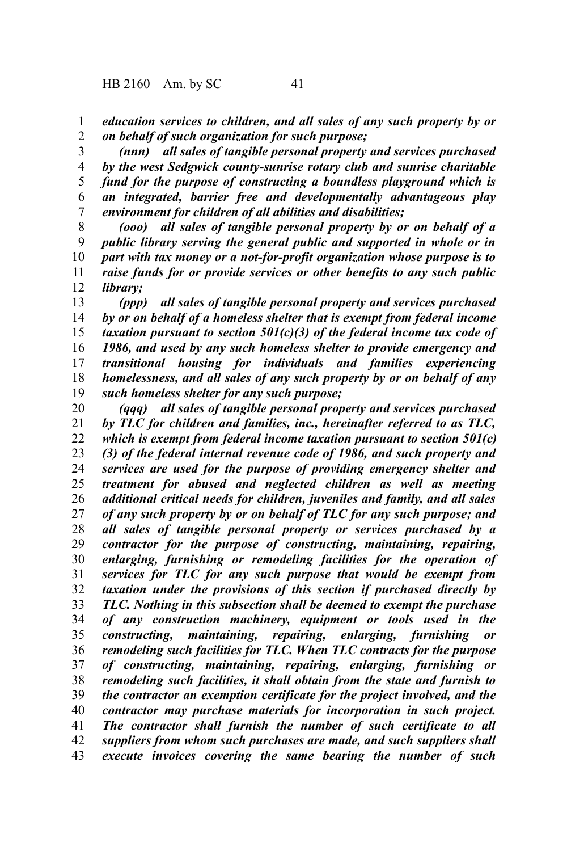*education services to children, and all sales of any such property by or on behalf of such organization for such purpose;* 1 2

*(nnn) all sales of tangible personal property and services purchased by the west Sedgwick county-sunrise rotary club and sunrise charitable fund for the purpose of constructing a boundless playground which is an integrated, barrier free and developmentally advantageous play environment for children of all abilities and disabilities;* 3 4 5 6 7

*(ooo) all sales of tangible personal property by or on behalf of a public library serving the general public and supported in whole or in part with tax money or a not-for-profit organization whose purpose is to raise funds for or provide services or other benefits to any such public library;* 8 9 10 11 12

*(ppp) all sales of tangible personal property and services purchased by or on behalf of a homeless shelter that is exempt from federal income taxation pursuant to section 501(c)(3) of the federal income tax code of 1986, and used by any such homeless shelter to provide emergency and transitional housing for individuals and families experiencing homelessness, and all sales of any such property by or on behalf of any such homeless shelter for any such purpose;* 13 14 15 16 17 18 19

*(qqq) all sales of tangible personal property and services purchased by TLC for children and families, inc., hereinafter referred to as TLC, which is exempt from federal income taxation pursuant to section 501(c) (3) of the federal internal revenue code of 1986, and such property and services are used for the purpose of providing emergency shelter and treatment for abused and neglected children as well as meeting additional critical needs for children, juveniles and family, and all sales of any such property by or on behalf of TLC for any such purpose; and all sales of tangible personal property or services purchased by a contractor for the purpose of constructing, maintaining, repairing, enlarging, furnishing or remodeling facilities for the operation of services for TLC for any such purpose that would be exempt from taxation under the provisions of this section if purchased directly by TLC. Nothing in this subsection shall be deemed to exempt the purchase of any construction machinery, equipment or tools used in the constructing, maintaining, repairing, enlarging, furnishing or remodeling such facilities for TLC. When TLC contracts for the purpose of constructing, maintaining, repairing, enlarging, furnishing or remodeling such facilities, it shall obtain from the state and furnish to the contractor an exemption certificate for the project involved, and the contractor may purchase materials for incorporation in such project. The contractor shall furnish the number of such certificate to all suppliers from whom such purchases are made, and such suppliers shall execute invoices covering the same bearing the number of such* 20 21 22 23 24 25 26 27 28 29 30 31 32 33 34 35 36 37 38 39 40 41 42 43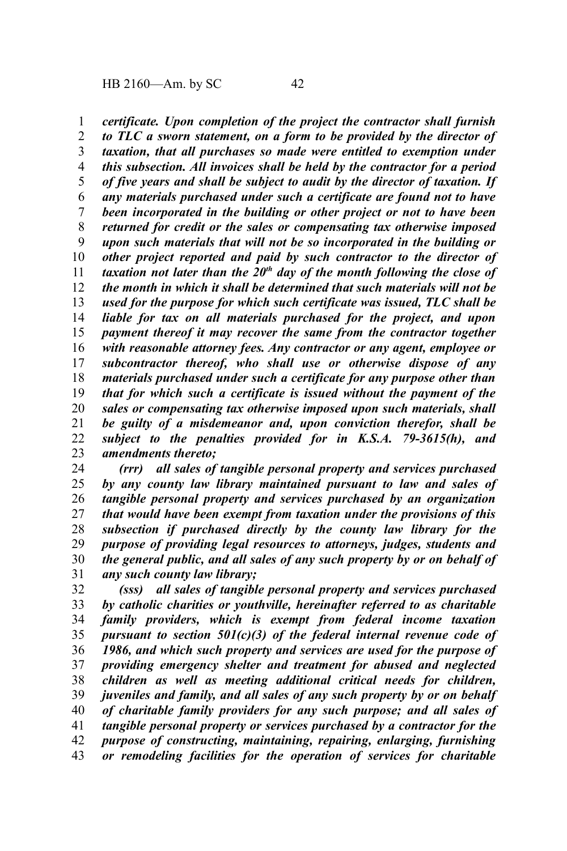*certificate. Upon completion of the project the contractor shall furnish to TLC a sworn statement, on a form to be provided by the director of taxation, that all purchases so made were entitled to exemption under this subsection. All invoices shall be held by the contractor for a period of five years and shall be subject to audit by the director of taxation. If any materials purchased under such a certificate are found not to have been incorporated in the building or other project or not to have been returned for credit or the sales or compensating tax otherwise imposed upon such materials that will not be so incorporated in the building or other project reported and paid by such contractor to the director of taxation not later than the 20th day of the month following the close of the month in which it shall be determined that such materials will not be used for the purpose for which such certificate was issued, TLC shall be liable for tax on all materials purchased for the project, and upon payment thereof it may recover the same from the contractor together with reasonable attorney fees. Any contractor or any agent, employee or subcontractor thereof, who shall use or otherwise dispose of any materials purchased under such a certificate for any purpose other than that for which such a certificate is issued without the payment of the sales or compensating tax otherwise imposed upon such materials, shall be guilty of a misdemeanor and, upon conviction therefor, shall be subject to the penalties provided for in K.S.A. 79-3615(h), and amendments thereto;* 1 2 3 4 5 6 7 8 9 10 11 12 13 14 15 16 17 18 19 20 21 22 23

*(rrr) all sales of tangible personal property and services purchased by any county law library maintained pursuant to law and sales of tangible personal property and services purchased by an organization that would have been exempt from taxation under the provisions of this subsection if purchased directly by the county law library for the purpose of providing legal resources to attorneys, judges, students and the general public, and all sales of any such property by or on behalf of any such county law library;* 24 25 26 27 28 29 30 31

*(sss) all sales of tangible personal property and services purchased by catholic charities or youthville, hereinafter referred to as charitable family providers, which is exempt from federal income taxation pursuant to section 501(c)(3) of the federal internal revenue code of 1986, and which such property and services are used for the purpose of providing emergency shelter and treatment for abused and neglected children as well as meeting additional critical needs for children, juveniles and family, and all sales of any such property by or on behalf of charitable family providers for any such purpose; and all sales of tangible personal property or services purchased by a contractor for the purpose of constructing, maintaining, repairing, enlarging, furnishing or remodeling facilities for the operation of services for charitable* 32 33 34 35 36 37 38 39 40 41 42 43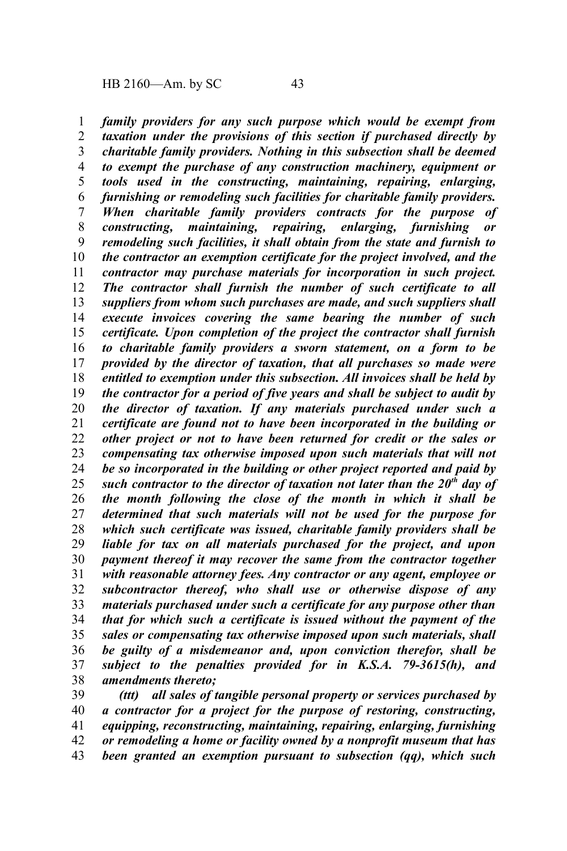*family providers for any such purpose which would be exempt from taxation under the provisions of this section if purchased directly by charitable family providers. Nothing in this subsection shall be deemed to exempt the purchase of any construction machinery, equipment or tools used in the constructing, maintaining, repairing, enlarging, furnishing or remodeling such facilities for charitable family providers. When charitable family providers contracts for the purpose of constructing, maintaining, repairing, enlarging, furnishing or remodeling such facilities, it shall obtain from the state and furnish to the contractor an exemption certificate for the project involved, and the contractor may purchase materials for incorporation in such project. The contractor shall furnish the number of such certificate to all suppliers from whom such purchases are made, and such suppliers shall execute invoices covering the same bearing the number of such certificate. Upon completion of the project the contractor shall furnish to charitable family providers a sworn statement, on a form to be provided by the director of taxation, that all purchases so made were entitled to exemption under this subsection. All invoices shall be held by the contractor for a period of five years and shall be subject to audit by the director of taxation. If any materials purchased under such a certificate are found not to have been incorporated in the building or other project or not to have been returned for credit or the sales or compensating tax otherwise imposed upon such materials that will not be so incorporated in the building or other project reported and paid by such contractor to the director of taxation not later than the 20th day of the month following the close of the month in which it shall be determined that such materials will not be used for the purpose for which such certificate was issued, charitable family providers shall be liable for tax on all materials purchased for the project, and upon payment thereof it may recover the same from the contractor together with reasonable attorney fees. Any contractor or any agent, employee or subcontractor thereof, who shall use or otherwise dispose of any materials purchased under such a certificate for any purpose other than that for which such a certificate is issued without the payment of the sales or compensating tax otherwise imposed upon such materials, shall be guilty of a misdemeanor and, upon conviction therefor, shall be subject to the penalties provided for in K.S.A. 79-3615(h), and amendments thereto;* 1 2 3 4 5 6 7 8 9 10 11 12 13 14 15 16 17 18 19 20 21 22 23 24 25 26 27 28 29 30 31 32 33 34 35 36 37 38

*(ttt) all sales of tangible personal property or services purchased by a contractor for a project for the purpose of restoring, constructing, equipping, reconstructing, maintaining, repairing, enlarging, furnishing or remodeling a home or facility owned by a nonprofit museum that has been granted an exemption pursuant to subsection (qq), which such* 39 40 41 42 43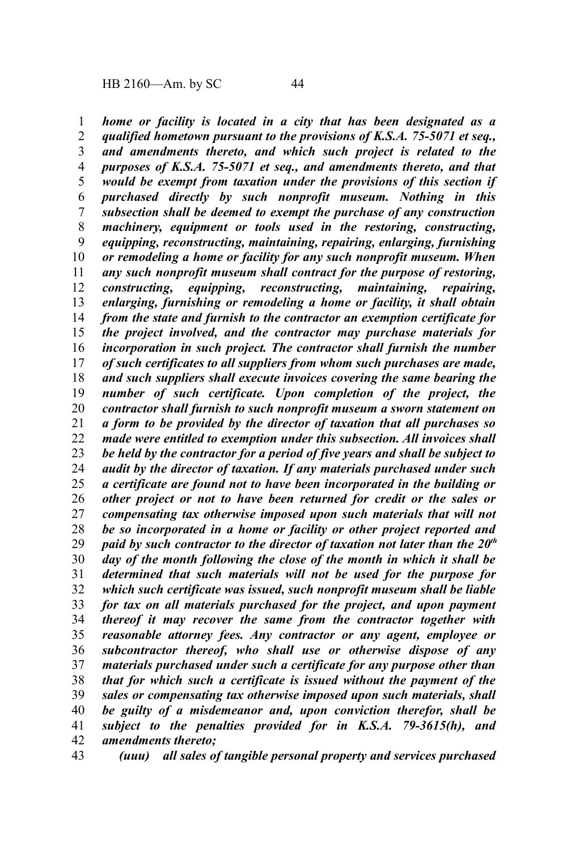*home or facility is located in a city that has been designated as a qualified hometown pursuant to the provisions of K.S.A. 75-5071 et seq., and amendments thereto, and which such project is related to the purposes of K.S.A. 75-5071 et seq., and amendments thereto, and that would be exempt from taxation under the provisions of this section if purchased directly by such nonprofit museum. Nothing in this subsection shall be deemed to exempt the purchase of any construction machinery, equipment or tools used in the restoring, constructing, equipping, reconstructing, maintaining, repairing, enlarging, furnishing or remodeling a home or facility for any such nonprofit museum. When any such nonprofit museum shall contract for the purpose of restoring, constructing, equipping, reconstructing, maintaining, repairing, enlarging, furnishing or remodeling a home or facility, it shall obtain from the state and furnish to the contractor an exemption certificate for the project involved, and the contractor may purchase materials for incorporation in such project. The contractor shall furnish the number of such certificates to all suppliers from whom such purchases are made, and such suppliers shall execute invoices covering the same bearing the number of such certificate. Upon completion of the project, the contractor shall furnish to such nonprofit museum a sworn statement on a form to be provided by the director of taxation that all purchases so made were entitled to exemption under this subsection. All invoices shall be held by the contractor for a period of five years and shall be subject to audit by the director of taxation. If any materials purchased under such a certificate are found not to have been incorporated in the building or other project or not to have been returned for credit or the sales or compensating tax otherwise imposed upon such materials that will not be so incorporated in a home or facility or other project reported and paid by such contractor to the director of taxation not later than the 20th day of the month following the close of the month in which it shall be determined that such materials will not be used for the purpose for which such certificate was issued, such nonprofit museum shall be liable for tax on all materials purchased for the project, and upon payment thereof it may recover the same from the contractor together with reasonable attorney fees. Any contractor or any agent, employee or subcontractor thereof, who shall use or otherwise dispose of any materials purchased under such a certificate for any purpose other than that for which such a certificate is issued without the payment of the sales or compensating tax otherwise imposed upon such materials, shall be guilty of a misdemeanor and, upon conviction therefor, shall be subject to the penalties provided for in K.S.A. 79-3615(h), and amendments thereto;* 1 2 3 4 5 6 7 8 9 10 11 12 13 14 15 16 17 18 19 20 21 22 23 24 25 26 27 28 29 30 31 32 33 34 35 36 37 38 39 40 41 42

*(uuu) all sales of tangible personal property and services purchased* 43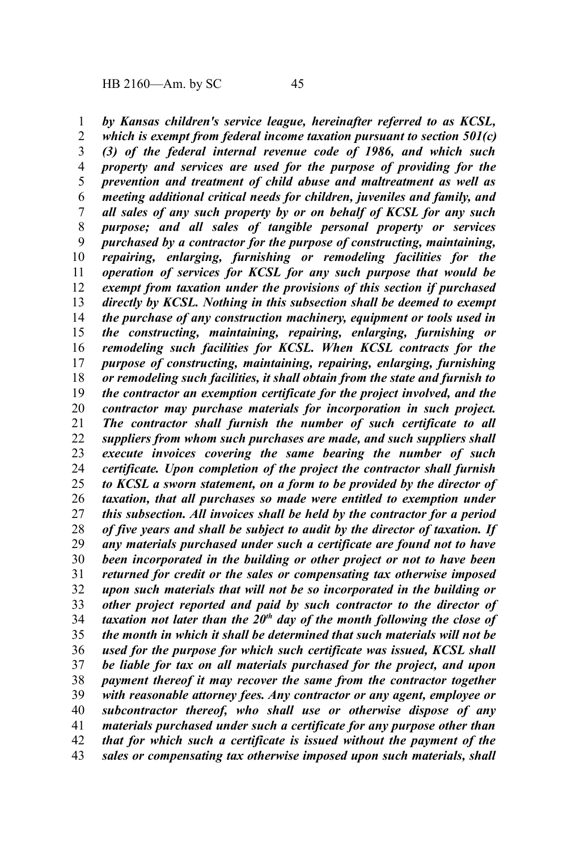*by Kansas children's service league, hereinafter referred to as KCSL, which is exempt from federal income taxation pursuant to section 501(c) (3) of the federal internal revenue code of 1986, and which such property and services are used for the purpose of providing for the prevention and treatment of child abuse and maltreatment as well as meeting additional critical needs for children, juveniles and family, and all sales of any such property by or on behalf of KCSL for any such purpose; and all sales of tangible personal property or services purchased by a contractor for the purpose of constructing, maintaining, repairing, enlarging, furnishing or remodeling facilities for the operation of services for KCSL for any such purpose that would be exempt from taxation under the provisions of this section if purchased directly by KCSL. Nothing in this subsection shall be deemed to exempt the purchase of any construction machinery, equipment or tools used in the constructing, maintaining, repairing, enlarging, furnishing or remodeling such facilities for KCSL. When KCSL contracts for the purpose of constructing, maintaining, repairing, enlarging, furnishing or remodeling such facilities, it shall obtain from the state and furnish to the contractor an exemption certificate for the project involved, and the contractor may purchase materials for incorporation in such project. The contractor shall furnish the number of such certificate to all suppliers from whom such purchases are made, and such suppliers shall execute invoices covering the same bearing the number of such certificate. Upon completion of the project the contractor shall furnish to KCSL a sworn statement, on a form to be provided by the director of taxation, that all purchases so made were entitled to exemption under this subsection. All invoices shall be held by the contractor for a period of five years and shall be subject to audit by the director of taxation. If any materials purchased under such a certificate are found not to have been incorporated in the building or other project or not to have been returned for credit or the sales or compensating tax otherwise imposed upon such materials that will not be so incorporated in the building or other project reported and paid by such contractor to the director of taxation not later than the 20th day of the month following the close of the month in which it shall be determined that such materials will not be used for the purpose for which such certificate was issued, KCSL shall be liable for tax on all materials purchased for the project, and upon payment thereof it may recover the same from the contractor together with reasonable attorney fees. Any contractor or any agent, employee or subcontractor thereof, who shall use or otherwise dispose of any materials purchased under such a certificate for any purpose other than that for which such a certificate is issued without the payment of the sales or compensating tax otherwise imposed upon such materials, shall* 1 2 3 4 5 6 7 8 9 10 11 12 13 14 15 16 17 18 19 20 21 22 23 24 25 26 27 28 29 30 31 32 33 34 35 36 37 38 39 40 41 42 43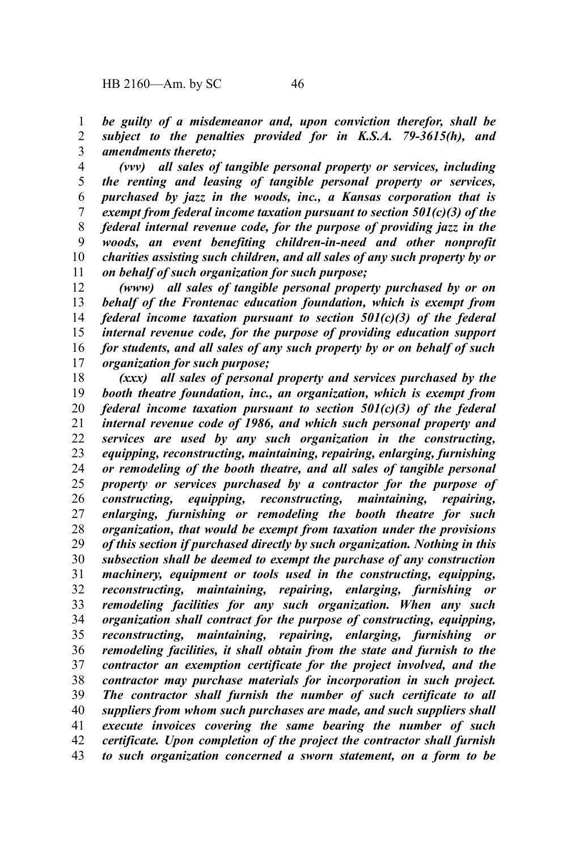*be guilty of a misdemeanor and, upon conviction therefor, shall be subject to the penalties provided for in K.S.A. 79-3615(h), and amendments thereto;* 1 2 3

*(vvv) all sales of tangible personal property or services, including the renting and leasing of tangible personal property or services, purchased by jazz in the woods, inc., a Kansas corporation that is exempt from federal income taxation pursuant to section 501(c)(3) of the federal internal revenue code, for the purpose of providing jazz in the woods, an event benefiting children-in-need and other nonprofit charities assisting such children, and all sales of any such property by or on behalf of such organization for such purpose;* 4 5 6 7 8 9 10 11

*(www) all sales of tangible personal property purchased by or on behalf of the Frontenac education foundation, which is exempt from federal income taxation pursuant to section 501(c)(3) of the federal internal revenue code, for the purpose of providing education support for students, and all sales of any such property by or on behalf of such organization for such purpose;* 12 13 14 15 16 17

*(xxx) all sales of personal property and services purchased by the booth theatre foundation, inc., an organization, which is exempt from federal income taxation pursuant to section 501(c)(3) of the federal internal revenue code of 1986, and which such personal property and services are used by any such organization in the constructing, equipping, reconstructing, maintaining, repairing, enlarging, furnishing or remodeling of the booth theatre, and all sales of tangible personal property or services purchased by a contractor for the purpose of constructing, equipping, reconstructing, maintaining, repairing, enlarging, furnishing or remodeling the booth theatre for such organization, that would be exempt from taxation under the provisions of this section if purchased directly by such organization. Nothing in this subsection shall be deemed to exempt the purchase of any construction machinery, equipment or tools used in the constructing, equipping, reconstructing, maintaining, repairing, enlarging, furnishing or remodeling facilities for any such organization. When any such organization shall contract for the purpose of constructing, equipping, reconstructing, maintaining, repairing, enlarging, furnishing or remodeling facilities, it shall obtain from the state and furnish to the contractor an exemption certificate for the project involved, and the contractor may purchase materials for incorporation in such project. The contractor shall furnish the number of such certificate to all suppliers from whom such purchases are made, and such suppliers shall execute invoices covering the same bearing the number of such certificate. Upon completion of the project the contractor shall furnish to such organization concerned a sworn statement, on a form to be* 18 19 20 21 22 23 24 25 26 27 28 29 30 31 32 33 34 35 36 37 38 39 40 41 42 43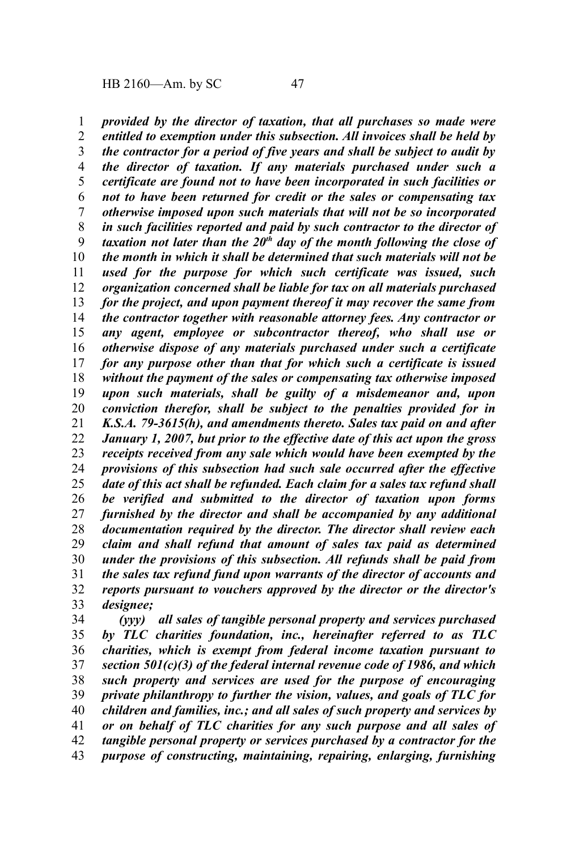*provided by the director of taxation, that all purchases so made were entitled to exemption under this subsection. All invoices shall be held by the contractor for a period of five years and shall be subject to audit by the director of taxation. If any materials purchased under such a certificate are found not to have been incorporated in such facilities or not to have been returned for credit or the sales or compensating tax otherwise imposed upon such materials that will not be so incorporated in such facilities reported and paid by such contractor to the director of taxation not later than the 20th day of the month following the close of the month in which it shall be determined that such materials will not be used for the purpose for which such certificate was issued, such organization concerned shall be liable for tax on all materials purchased for the project, and upon payment thereof it may recover the same from the contractor together with reasonable attorney fees. Any contractor or any agent, employee or subcontractor thereof, who shall use or otherwise dispose of any materials purchased under such a certificate for any purpose other than that for which such a certificate is issued without the payment of the sales or compensating tax otherwise imposed upon such materials, shall be guilty of a misdemeanor and, upon conviction therefor, shall be subject to the penalties provided for in K.S.A. 79-3615(h), and amendments thereto. Sales tax paid on and after January 1, 2007, but prior to the effective date of this act upon the gross receipts received from any sale which would have been exempted by the provisions of this subsection had such sale occurred after the effective date of this act shall be refunded. Each claim for a sales tax refund shall be verified and submitted to the director of taxation upon forms furnished by the director and shall be accompanied by any additional documentation required by the director. The director shall review each claim and shall refund that amount of sales tax paid as determined under the provisions of this subsection. All refunds shall be paid from the sales tax refund fund upon warrants of the director of accounts and reports pursuant to vouchers approved by the director or the director's designee;* 1 2 3 4 5 6 7 8 9 10 11 12 13 14 15 16 17 18 19 20 21 22 23 24 25 26 27 28 29 30 31 32 33

*(yyy) all sales of tangible personal property and services purchased by TLC charities foundation, inc., hereinafter referred to as TLC charities, which is exempt from federal income taxation pursuant to section 501(c)(3) of the federal internal revenue code of 1986, and which such property and services are used for the purpose of encouraging private philanthropy to further the vision, values, and goals of TLC for children and families, inc.; and all sales of such property and services by or on behalf of TLC charities for any such purpose and all sales of tangible personal property or services purchased by a contractor for the purpose of constructing, maintaining, repairing, enlarging, furnishing* 34 35 36 37 38 39 40 41 42 43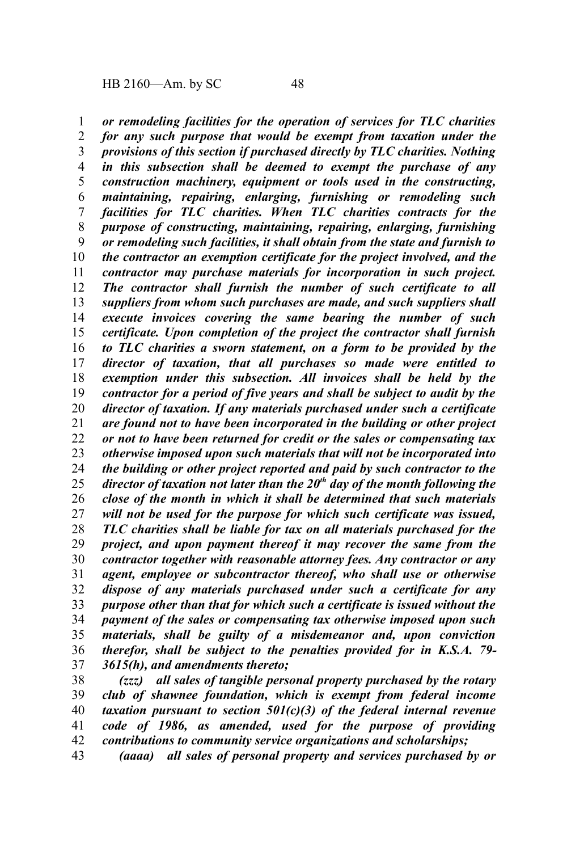*or remodeling facilities for the operation of services for TLC charities for any such purpose that would be exempt from taxation under the provisions of this section if purchased directly by TLC charities. Nothing in this subsection shall be deemed to exempt the purchase of any construction machinery, equipment or tools used in the constructing, maintaining, repairing, enlarging, furnishing or remodeling such facilities for TLC charities. When TLC charities contracts for the purpose of constructing, maintaining, repairing, enlarging, furnishing or remodeling such facilities, it shall obtain from the state and furnish to the contractor an exemption certificate for the project involved, and the contractor may purchase materials for incorporation in such project. The contractor shall furnish the number of such certificate to all suppliers from whom such purchases are made, and such suppliers shall execute invoices covering the same bearing the number of such certificate. Upon completion of the project the contractor shall furnish to TLC charities a sworn statement, on a form to be provided by the director of taxation, that all purchases so made were entitled to exemption under this subsection. All invoices shall be held by the contractor for a period of five years and shall be subject to audit by the director of taxation. If any materials purchased under such a certificate are found not to have been incorporated in the building or other project or not to have been returned for credit or the sales or compensating tax otherwise imposed upon such materials that will not be incorporated into the building or other project reported and paid by such contractor to the director of taxation not later than the 20th day of the month following the close of the month in which it shall be determined that such materials will not be used for the purpose for which such certificate was issued, TLC charities shall be liable for tax on all materials purchased for the project, and upon payment thereof it may recover the same from the contractor together with reasonable attorney fees. Any contractor or any agent, employee or subcontractor thereof, who shall use or otherwise dispose of any materials purchased under such a certificate for any purpose other than that for which such a certificate is issued without the payment of the sales or compensating tax otherwise imposed upon such materials, shall be guilty of a misdemeanor and, upon conviction therefor, shall be subject to the penalties provided for in K.S.A. 79- 3615(h), and amendments thereto;* 1 2 3 4 5 6 7 8 9 10 11 12 13 14 15 16 17 18 19 20 21 22 23 24 25 26 27 28 29 30 31 32 33 34 35 36 37

*(zzz) all sales of tangible personal property purchased by the rotary club of shawnee foundation, which is exempt from federal income taxation pursuant to section 501(c)(3) of the federal internal revenue code of 1986, as amended, used for the purpose of providing contributions to community service organizations and scholarships;* 38 39 40 41 42

*(aaaa) all sales of personal property and services purchased by or* 43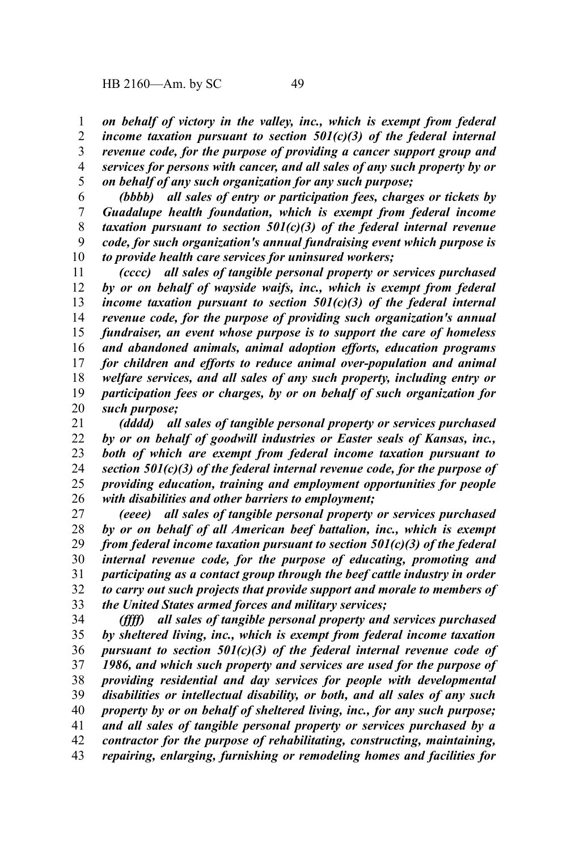*on behalf of victory in the valley, inc., which is exempt from federal income taxation pursuant to section 501(c)(3) of the federal internal revenue code, for the purpose of providing a cancer support group and services for persons with cancer, and all sales of any such property by or on behalf of any such organization for any such purpose;* 1 2 3 4 5

*(bbbb) all sales of entry or participation fees, charges or tickets by Guadalupe health foundation, which is exempt from federal income taxation pursuant to section 501(c)(3) of the federal internal revenue code, for such organization's annual fundraising event which purpose is to provide health care services for uninsured workers;* 6 7 8 9 10

*(cccc) all sales of tangible personal property or services purchased by or on behalf of wayside waifs, inc., which is exempt from federal income taxation pursuant to section 501(c)(3) of the federal internal revenue code, for the purpose of providing such organization's annual fundraiser, an event whose purpose is to support the care of homeless and abandoned animals, animal adoption efforts, education programs for children and efforts to reduce animal over-population and animal welfare services, and all sales of any such property, including entry or participation fees or charges, by or on behalf of such organization for such purpose;* 11 12 13 14 15 16 17 18 19 20

*(dddd) all sales of tangible personal property or services purchased by or on behalf of goodwill industries or Easter seals of Kansas, inc., both of which are exempt from federal income taxation pursuant to section 501(c)(3) of the federal internal revenue code, for the purpose of providing education, training and employment opportunities for people with disabilities and other barriers to employment;* 21 22 23 24 25 26

*(eeee) all sales of tangible personal property or services purchased by or on behalf of all American beef battalion, inc., which is exempt from federal income taxation pursuant to section 501(c)(3) of the federal internal revenue code, for the purpose of educating, promoting and participating as a contact group through the beef cattle industry in order to carry out such projects that provide support and morale to members of the United States armed forces and military services;* 27 28 29 30 31 32 33

*(ffff) all sales of tangible personal property and services purchased by sheltered living, inc., which is exempt from federal income taxation pursuant to section 501(c)(3) of the federal internal revenue code of 1986, and which such property and services are used for the purpose of providing residential and day services for people with developmental disabilities or intellectual disability, or both, and all sales of any such property by or on behalf of sheltered living, inc., for any such purpose; and all sales of tangible personal property or services purchased by a contractor for the purpose of rehabilitating, constructing, maintaining, repairing, enlarging, furnishing or remodeling homes and facilities for* 34 35 36 37 38 39 40 41 42 43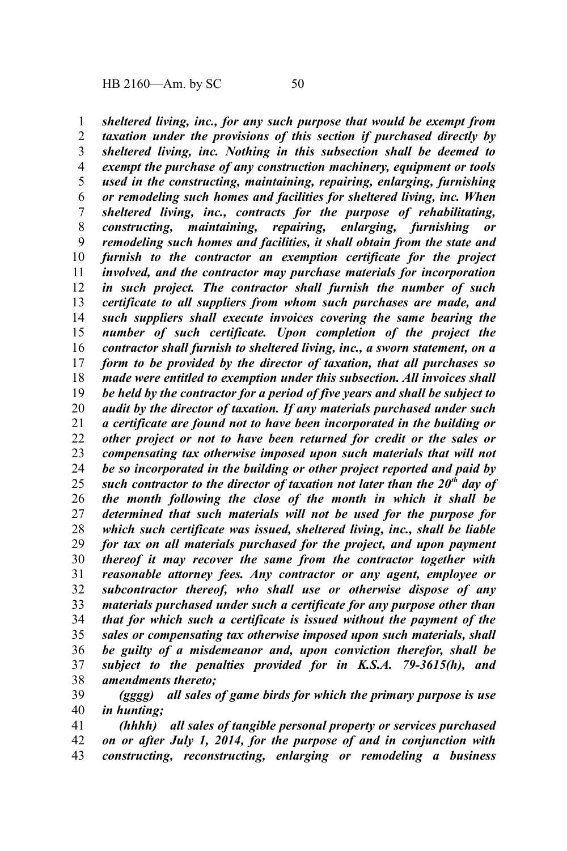*sheltered living, inc., for any such purpose that would be exempt from taxation under the provisions of this section if purchased directly by sheltered living, inc. Nothing in this subsection shall be deemed to exempt the purchase of any construction machinery, equipment or tools used in the constructing, maintaining, repairing, enlarging, furnishing or remodeling such homes and facilities for sheltered living, inc. When sheltered living, inc., contracts for the purpose of rehabilitating, constructing, maintaining, repairing, enlarging, furnishing or remodeling such homes and facilities, it shall obtain from the state and furnish to the contractor an exemption certificate for the project involved, and the contractor may purchase materials for incorporation in such project. The contractor shall furnish the number of such certificate to all suppliers from whom such purchases are made, and such suppliers shall execute invoices covering the same bearing the number of such certificate. Upon completion of the project the contractor shall furnish to sheltered living, inc., a sworn statement, on a form to be provided by the director of taxation, that all purchases so made were entitled to exemption under this subsection. All invoices shall be held by the contractor for a period of five years and shall be subject to audit by the director of taxation. If any materials purchased under such a certificate are found not to have been incorporated in the building or other project or not to have been returned for credit or the sales or compensating tax otherwise imposed upon such materials that will not be so incorporated in the building or other project reported and paid by such contractor to the director of taxation not later than the 20th day of the month following the close of the month in which it shall be determined that such materials will not be used for the purpose for which such certificate was issued, sheltered living, inc., shall be liable for tax on all materials purchased for the project, and upon payment thereof it may recover the same from the contractor together with reasonable attorney fees. Any contractor or any agent, employee or subcontractor thereof, who shall use or otherwise dispose of any materials purchased under such a certificate for any purpose other than that for which such a certificate is issued without the payment of the sales or compensating tax otherwise imposed upon such materials, shall be guilty of a misdemeanor and, upon conviction therefor, shall be subject to the penalties provided for in K.S.A. 79-3615(h), and amendments thereto;* 1 2 3 4 5 6 7 8 9 10 11 12 13 14 15 16 17 18 19 20 21 22 23 24 25 26 27 28 29 30 31 32 33 34 35 36 37 38

*(gggg) all sales of game birds for which the primary purpose is use in hunting;* 39 40

*(hhhh) all sales of tangible personal property or services purchased on or after July 1, 2014, for the purpose of and in conjunction with constructing, reconstructing, enlarging or remodeling a business* 41 42 43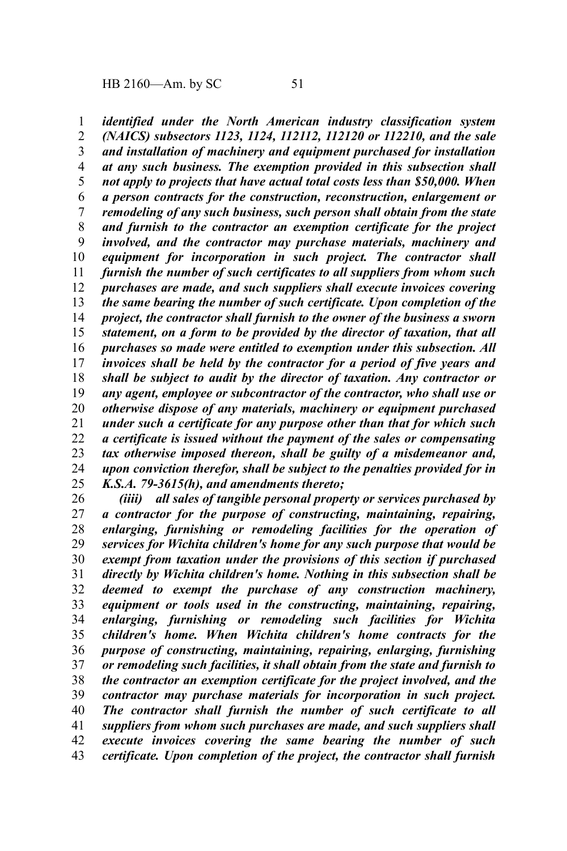*identified under the North American industry classification system (NAICS) subsectors 1123, 1124, 112112, 112120 or 112210, and the sale and installation of machinery and equipment purchased for installation at any such business. The exemption provided in this subsection shall not apply to projects that have actual total costs less than \$50,000. When a person contracts for the construction, reconstruction, enlargement or remodeling of any such business, such person shall obtain from the state and furnish to the contractor an exemption certificate for the project involved, and the contractor may purchase materials, machinery and equipment for incorporation in such project. The contractor shall furnish the number of such certificates to all suppliers from whom such purchases are made, and such suppliers shall execute invoices covering the same bearing the number of such certificate. Upon completion of the project, the contractor shall furnish to the owner of the business a sworn statement, on a form to be provided by the director of taxation, that all purchases so made were entitled to exemption under this subsection. All invoices shall be held by the contractor for a period of five years and shall be subject to audit by the director of taxation. Any contractor or any agent, employee or subcontractor of the contractor, who shall use or otherwise dispose of any materials, machinery or equipment purchased under such a certificate for any purpose other than that for which such a certificate is issued without the payment of the sales or compensating tax otherwise imposed thereon, shall be guilty of a misdemeanor and, upon conviction therefor, shall be subject to the penalties provided for in K.S.A. 79-3615(h), and amendments thereto;* 1 2 3 4 5 6 7 8 9 10 11 12 13 14 15 16 17 18 19 20 21 22 23 24 25

*(iiii) all sales of tangible personal property or services purchased by a contractor for the purpose of constructing, maintaining, repairing, enlarging, furnishing or remodeling facilities for the operation of services for Wichita children's home for any such purpose that would be exempt from taxation under the provisions of this section if purchased directly by Wichita children's home. Nothing in this subsection shall be deemed to exempt the purchase of any construction machinery, equipment or tools used in the constructing, maintaining, repairing, enlarging, furnishing or remodeling such facilities for Wichita children's home. When Wichita children's home contracts for the purpose of constructing, maintaining, repairing, enlarging, furnishing or remodeling such facilities, it shall obtain from the state and furnish to the contractor an exemption certificate for the project involved, and the contractor may purchase materials for incorporation in such project. The contractor shall furnish the number of such certificate to all suppliers from whom such purchases are made, and such suppliers shall execute invoices covering the same bearing the number of such certificate. Upon completion of the project, the contractor shall furnish* 26 27 28 29 30 31 32 33 34 35 36 37 38 39 40 41 42 43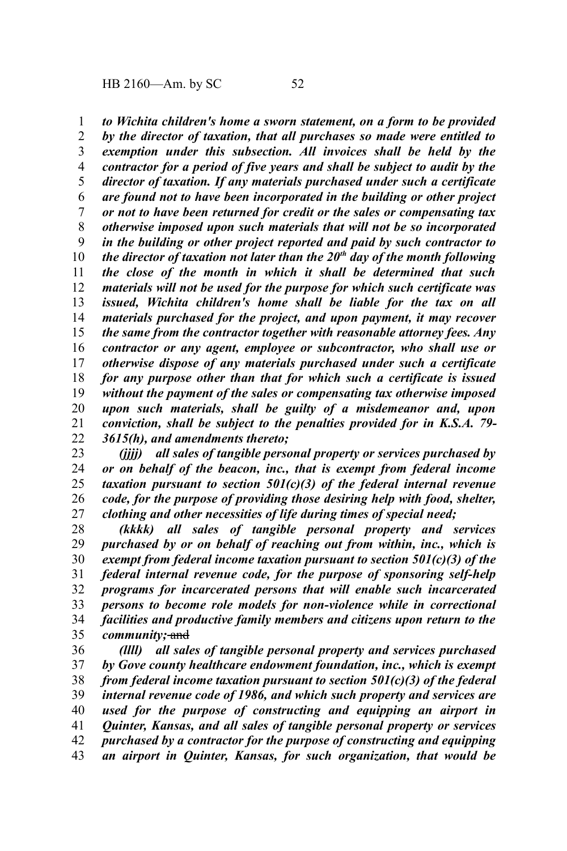*to Wichita children's home a sworn statement, on a form to be provided by the director of taxation, that all purchases so made were entitled to exemption under this subsection. All invoices shall be held by the contractor for a period of five years and shall be subject to audit by the director of taxation. If any materials purchased under such a certificate are found not to have been incorporated in the building or other project or not to have been returned for credit or the sales or compensating tax otherwise imposed upon such materials that will not be so incorporated in the building or other project reported and paid by such contractor to the director of taxation not later than the 20th day of the month following the close of the month in which it shall be determined that such materials will not be used for the purpose for which such certificate was issued, Wichita children's home shall be liable for the tax on all materials purchased for the project, and upon payment, it may recover the same from the contractor together with reasonable attorney fees. Any contractor or any agent, employee or subcontractor, who shall use or otherwise dispose of any materials purchased under such a certificate for any purpose other than that for which such a certificate is issued without the payment of the sales or compensating tax otherwise imposed upon such materials, shall be guilty of a misdemeanor and, upon conviction, shall be subject to the penalties provided for in K.S.A. 79- 3615(h), and amendments thereto;* 1 2 3 4 5 6 7 8 9 10 11 12 13 14 15 16 17 18 19 20 21 22

*(jjjj) all sales of tangible personal property or services purchased by or on behalf of the beacon, inc., that is exempt from federal income taxation pursuant to section 501(c)(3) of the federal internal revenue code, for the purpose of providing those desiring help with food, shelter, clothing and other necessities of life during times of special need;* 23 24 25 26 27

*(kkkk) all sales of tangible personal property and services purchased by or on behalf of reaching out from within, inc., which is exempt from federal income taxation pursuant to section 501(c)(3) of the federal internal revenue code, for the purpose of sponsoring self-help programs for incarcerated persons that will enable such incarcerated persons to become role models for non-violence while in correctional facilities and productive family members and citizens upon return to the community*; and 28 29 30 31 32 33 34 35

*(llll) all sales of tangible personal property and services purchased by Gove county healthcare endowment foundation, inc., which is exempt from federal income taxation pursuant to section 501(c)(3) of the federal internal revenue code of 1986, and which such property and services are used for the purpose of constructing and equipping an airport in Quinter, Kansas, and all sales of tangible personal property or services purchased by a contractor for the purpose of constructing and equipping an airport in Quinter, Kansas, for such organization, that would be* 36 37 38 39 40 41 42 43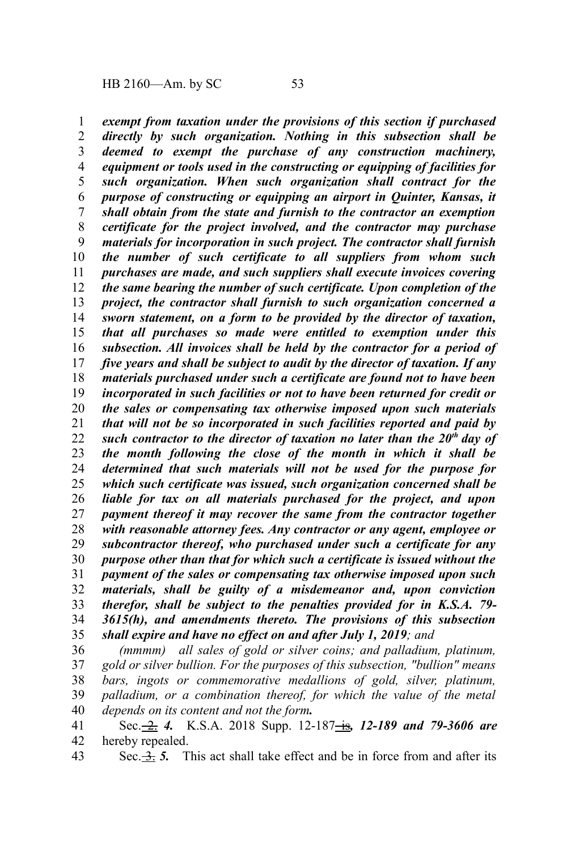*exempt from taxation under the provisions of this section if purchased directly by such organization. Nothing in this subsection shall be deemed to exempt the purchase of any construction machinery, equipment or tools used in the constructing or equipping of facilities for such organization. When such organization shall contract for the purpose of constructing or equipping an airport in Quinter, Kansas, it shall obtain from the state and furnish to the contractor an exemption certificate for the project involved, and the contractor may purchase materials for incorporation in such project. The contractor shall furnish the number of such certificate to all suppliers from whom such purchases are made, and such suppliers shall execute invoices covering the same bearing the number of such certificate. Upon completion of the project, the contractor shall furnish to such organization concerned a sworn statement, on a form to be provided by the director of taxation, that all purchases so made were entitled to exemption under this subsection. All invoices shall be held by the contractor for a period of five years and shall be subject to audit by the director of taxation. If any materials purchased under such a certificate are found not to have been incorporated in such facilities or not to have been returned for credit or the sales or compensating tax otherwise imposed upon such materials that will not be so incorporated in such facilities reported and paid by such contractor to the director of taxation no later than the 20th day of the month following the close of the month in which it shall be determined that such materials will not be used for the purpose for which such certificate was issued, such organization concerned shall be liable for tax on all materials purchased for the project, and upon payment thereof it may recover the same from the contractor together with reasonable attorney fees. Any contractor or any agent, employee or subcontractor thereof, who purchased under such a certificate for any purpose other than that for which such a certificate is issued without the payment of the sales or compensating tax otherwise imposed upon such materials, shall be guilty of a misdemeanor and, upon conviction therefor, shall be subject to the penalties provided for in K.S.A. 79- 3615(h), and amendments thereto. The provisions of this subsection shall expire and have no effect on and after July 1, 2019; and* 1 2 3 4 5 6 7 8 9 10 11 12 13 14 15 16 17 18 19 20 21 22 23 24 25 26 27 28 29 30 31 32 33 34 35

*(mmmm) all sales of gold or silver coins; and palladium, platinum, gold or silver bullion. For the purposes of this subsection, "bullion" means bars, ingots or commemorative medallions of gold, silver, platinum, palladium, or a combination thereof, for which the value of the metal depends on its content and not the form.* 36 37 38 39 40

Sec. 2. 4. K.S.A. 2018 Supp. 12-187 is, 12-189 and 79-3606 are hereby repealed. 41 42

Sec.  $\frac{3}{2}$ , 5. This act shall take effect and be in force from and after its 43